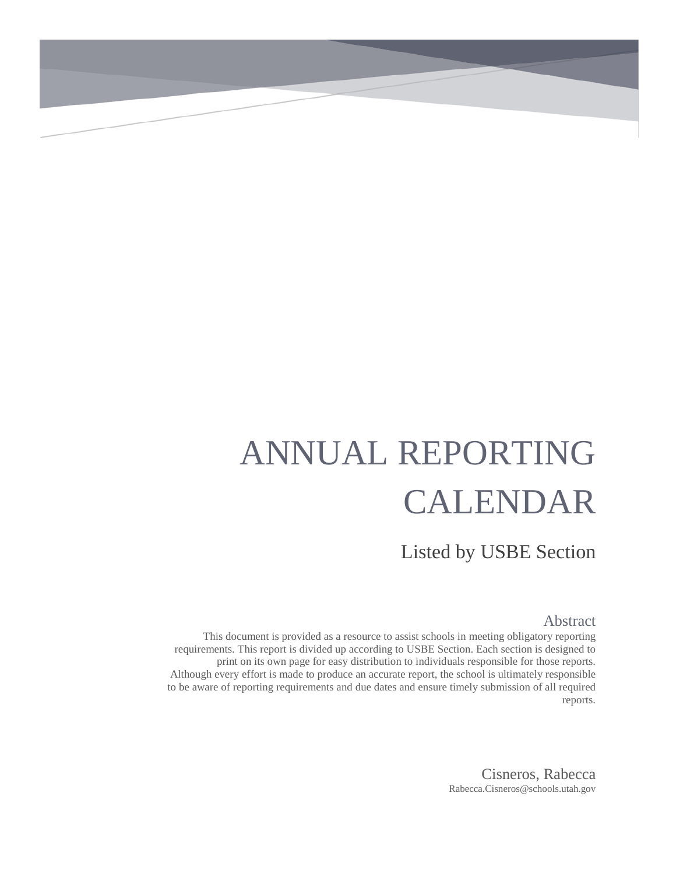# ANNUAL REPORTING CALENDAR

Listed by USBE Section

#### Abstract

This document is provided as a resource to assist schools in meeting obligatory reporting requirements. This report is divided up according to USBE Section. Each section is designed to print on its own page for easy distribution to individuals responsible for those reports. Although every effort is made to produce an accurate report, the school is ultimately responsible to be aware of reporting requirements and due dates and ensure timely submission of all required reports.

> Cisneros, Rabecca Rabecca.Cisneros@schools.utah.gov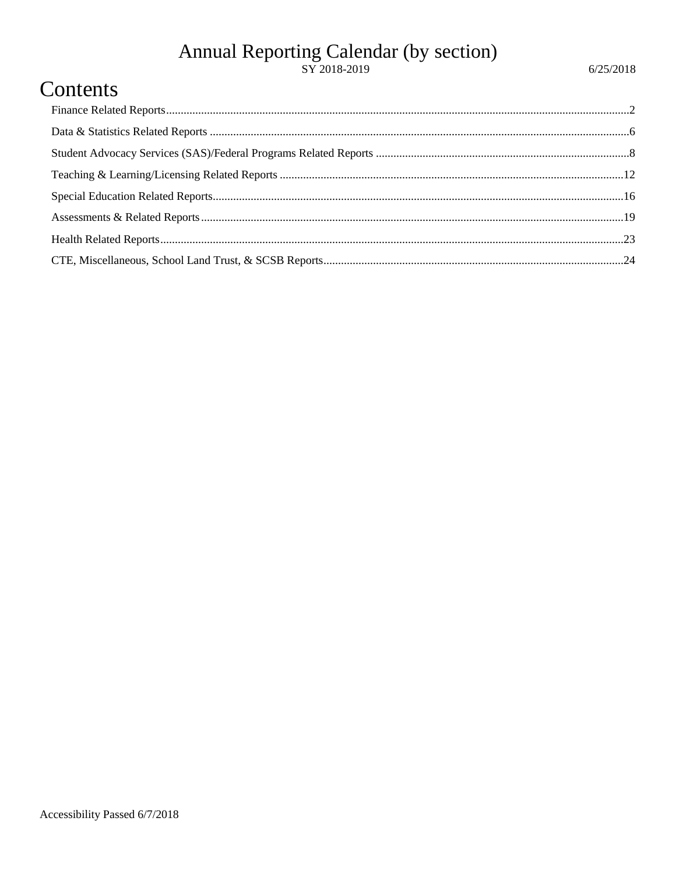## Annual Reporting Calendar (by section)<br>sy 2018-2019

#### Contents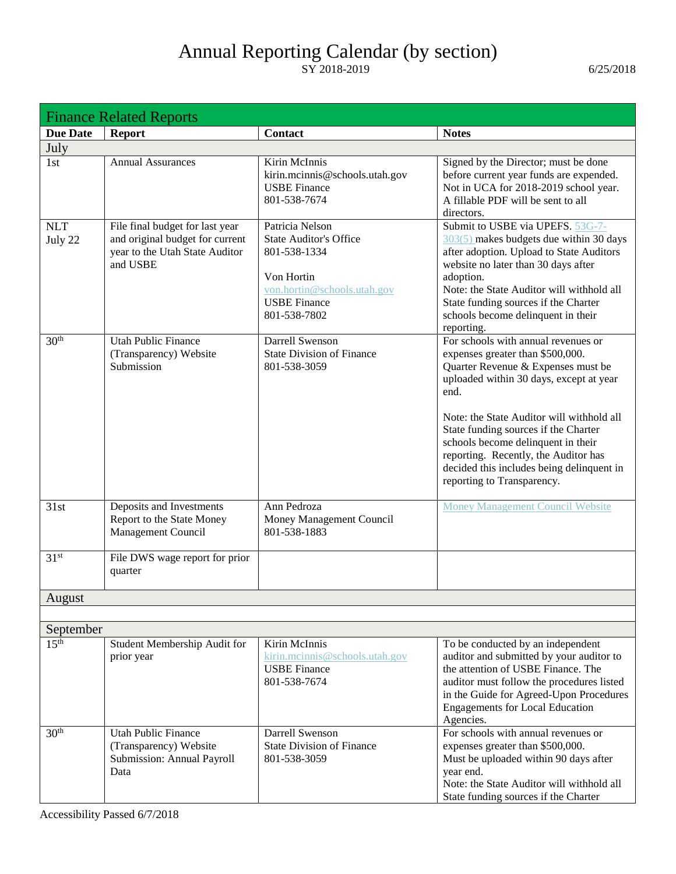<span id="page-2-0"></span>

| <b>Finance Related Reports</b> |                                                                                                                  |                                                                                                                                                      |                                                                                                                                                                                                                                                                                                                                                                                                                |
|--------------------------------|------------------------------------------------------------------------------------------------------------------|------------------------------------------------------------------------------------------------------------------------------------------------------|----------------------------------------------------------------------------------------------------------------------------------------------------------------------------------------------------------------------------------------------------------------------------------------------------------------------------------------------------------------------------------------------------------------|
| <b>Due Date</b>                | <b>Report</b>                                                                                                    | Contact                                                                                                                                              | <b>Notes</b>                                                                                                                                                                                                                                                                                                                                                                                                   |
| July                           |                                                                                                                  |                                                                                                                                                      |                                                                                                                                                                                                                                                                                                                                                                                                                |
| 1st                            | <b>Annual Assurances</b>                                                                                         | Kirin McInnis<br>kirin.mcinnis@schools.utah.gov<br><b>USBE Finance</b><br>801-538-7674                                                               | Signed by the Director; must be done<br>before current year funds are expended.<br>Not in UCA for 2018-2019 school year.<br>A fillable PDF will be sent to all<br>directors.                                                                                                                                                                                                                                   |
| <b>NLT</b><br>July 22          | File final budget for last year<br>and original budget for current<br>year to the Utah State Auditor<br>and USBE | Patricia Nelson<br><b>State Auditor's Office</b><br>801-538-1334<br>Von Hortin<br>von.hortin@schools.utah.gov<br><b>USBE Finance</b><br>801-538-7802 | Submit to USBE via UPEFS. 53G-7-<br>303(5) makes budgets due within 30 days<br>after adoption. Upload to State Auditors<br>website no later than 30 days after<br>adoption.<br>Note: the State Auditor will withhold all<br>State funding sources if the Charter<br>schools become delinquent in their<br>reporting.                                                                                           |
| 30 <sup>th</sup>               | <b>Utah Public Finance</b><br>(Transparency) Website<br>Submission                                               | Darrell Swenson<br><b>State Division of Finance</b><br>801-538-3059                                                                                  | For schools with annual revenues or<br>expenses greater than \$500,000.<br>Quarter Revenue & Expenses must be<br>uploaded within 30 days, except at year<br>end.<br>Note: the State Auditor will withhold all<br>State funding sources if the Charter<br>schools become delinquent in their<br>reporting. Recently, the Auditor has<br>decided this includes being delinquent in<br>reporting to Transparency. |
| 31st                           | Deposits and Investments<br>Report to the State Money<br>Management Council                                      | Ann Pedroza<br>Money Management Council<br>801-538-1883                                                                                              | <b>Money Management Council Website</b>                                                                                                                                                                                                                                                                                                                                                                        |
| 31 <sup>st</sup>               | File DWS wage report for prior<br>quarter                                                                        |                                                                                                                                                      |                                                                                                                                                                                                                                                                                                                                                                                                                |
| August                         |                                                                                                                  |                                                                                                                                                      |                                                                                                                                                                                                                                                                                                                                                                                                                |
|                                |                                                                                                                  |                                                                                                                                                      |                                                                                                                                                                                                                                                                                                                                                                                                                |
| September                      |                                                                                                                  |                                                                                                                                                      |                                                                                                                                                                                                                                                                                                                                                                                                                |
| 15 <sup>th</sup>               | Student Membership Audit for<br>prior year                                                                       | Kirin McInnis<br>kirin.mcinnis@schools.utah.gov<br><b>USBE</b> Finance<br>801-538-7674                                                               | To be conducted by an independent<br>auditor and submitted by your auditor to<br>the attention of USBE Finance. The<br>auditor must follow the procedures listed<br>in the Guide for Agreed-Upon Procedures<br><b>Engagements for Local Education</b><br>Agencies.                                                                                                                                             |
| 30 <sup>th</sup>               | <b>Utah Public Finance</b><br>(Transparency) Website<br>Submission: Annual Payroll<br>Data                       | Darrell Swenson<br><b>State Division of Finance</b><br>801-538-3059                                                                                  | For schools with annual revenues or<br>expenses greater than \$500,000.<br>Must be uploaded within 90 days after<br>year end.<br>Note: the State Auditor will withhold all<br>State funding sources if the Charter                                                                                                                                                                                             |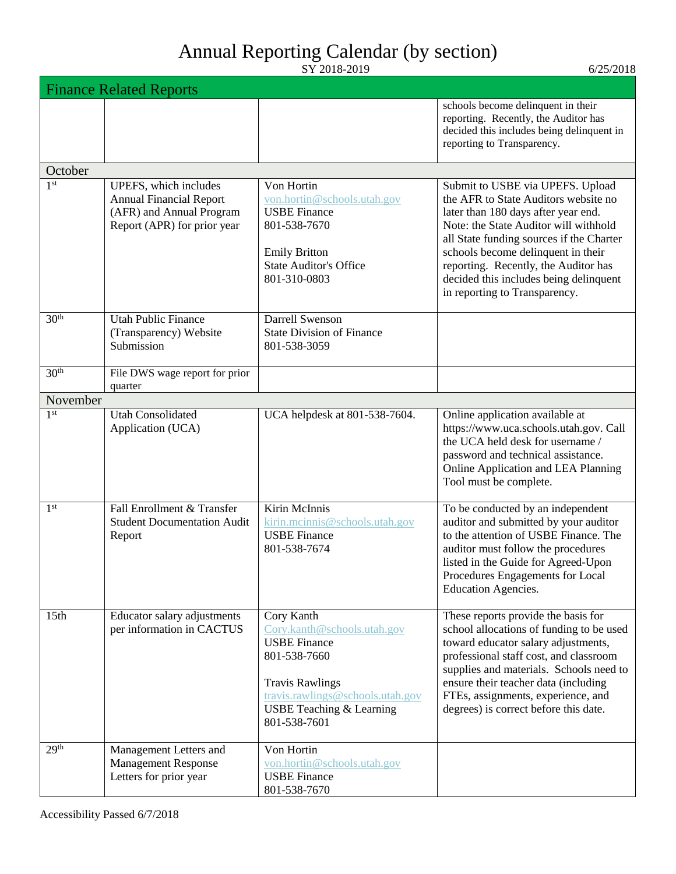|                  | <b>Finance Related Reports</b>                                                                                     |                                                                                                                                                                                                       |                                                                                                                                                                                                                                                                                                                                                               |
|------------------|--------------------------------------------------------------------------------------------------------------------|-------------------------------------------------------------------------------------------------------------------------------------------------------------------------------------------------------|---------------------------------------------------------------------------------------------------------------------------------------------------------------------------------------------------------------------------------------------------------------------------------------------------------------------------------------------------------------|
|                  |                                                                                                                    |                                                                                                                                                                                                       | schools become delinquent in their<br>reporting. Recently, the Auditor has<br>decided this includes being delinquent in<br>reporting to Transparency.                                                                                                                                                                                                         |
| October          |                                                                                                                    |                                                                                                                                                                                                       |                                                                                                                                                                                                                                                                                                                                                               |
| 1 <sup>st</sup>  | UPEFS, which includes<br><b>Annual Financial Report</b><br>(AFR) and Annual Program<br>Report (APR) for prior year | Von Hortin<br>von.hortin@schools.utah.gov<br><b>USBE</b> Finance<br>801-538-7670<br><b>Emily Britton</b><br><b>State Auditor's Office</b><br>801-310-0803                                             | Submit to USBE via UPEFS. Upload<br>the AFR to State Auditors website no<br>later than 180 days after year end.<br>Note: the State Auditor will withhold<br>all State funding sources if the Charter<br>schools become delinquent in their<br>reporting. Recently, the Auditor has<br>decided this includes being delinquent<br>in reporting to Transparency. |
| 30 <sup>th</sup> | <b>Utah Public Finance</b><br>(Transparency) Website<br>Submission                                                 | Darrell Swenson<br><b>State Division of Finance</b><br>801-538-3059                                                                                                                                   |                                                                                                                                                                                                                                                                                                                                                               |
| 30 <sup>th</sup> | File DWS wage report for prior<br>quarter                                                                          |                                                                                                                                                                                                       |                                                                                                                                                                                                                                                                                                                                                               |
| November         |                                                                                                                    |                                                                                                                                                                                                       |                                                                                                                                                                                                                                                                                                                                                               |
| 1 <sup>st</sup>  | <b>Utah Consolidated</b><br>Application (UCA)                                                                      | UCA helpdesk at 801-538-7604.                                                                                                                                                                         | Online application available at<br>https://www.uca.schools.utah.gov. Call<br>the UCA held desk for username /<br>password and technical assistance.<br>Online Application and LEA Planning<br>Tool must be complete.                                                                                                                                          |
| 1 <sup>st</sup>  | Fall Enrollment & Transfer<br><b>Student Documentation Audit</b><br>Report                                         | Kirin McInnis<br>kirin.mcinnis@schools.utah.gov<br><b>USBE</b> Finance<br>801-538-7674                                                                                                                | To be conducted by an independent<br>auditor and submitted by your auditor<br>to the attention of USBE Finance. The<br>auditor must follow the procedures<br>listed in the Guide for Agreed-Upon<br>Procedures Engagements for Local<br><b>Education Agencies.</b>                                                                                            |
| 15 <sub>th</sub> | Educator salary adjustments<br>per information in CACTUS                                                           | Cory Kanth<br>Cory.kanth@schools.utah.gov<br><b>USBE Finance</b><br>801-538-7660<br><b>Travis Rawlings</b><br>travis.rawlings@schools.utah.gov<br><b>USBE Teaching &amp; Learning</b><br>801-538-7601 | These reports provide the basis for<br>school allocations of funding to be used<br>toward educator salary adjustments,<br>professional staff cost, and classroom<br>supplies and materials. Schools need to<br>ensure their teacher data (including<br>FTEs, assignments, experience, and<br>degrees) is correct before this date.                            |
| 29 <sup>th</sup> | Management Letters and<br><b>Management Response</b><br>Letters for prior year                                     | Von Hortin<br>von.hortin@schools.utah.gov<br><b>USBE</b> Finance<br>801-538-7670                                                                                                                      |                                                                                                                                                                                                                                                                                                                                                               |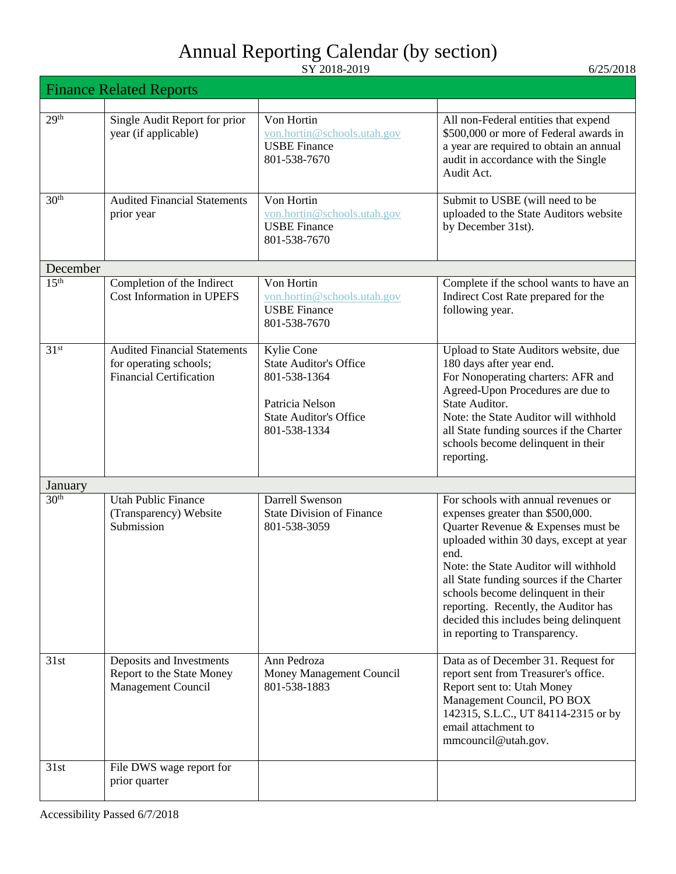|                  | <b>Finance Related Reports</b>                                                                  |                                                                                                                                 |                                                                                                                                                                                                                                                                                                                                                                                                                |
|------------------|-------------------------------------------------------------------------------------------------|---------------------------------------------------------------------------------------------------------------------------------|----------------------------------------------------------------------------------------------------------------------------------------------------------------------------------------------------------------------------------------------------------------------------------------------------------------------------------------------------------------------------------------------------------------|
| 29 <sup>th</sup> | Single Audit Report for prior<br>year (if applicable)                                           | Von Hortin<br>von.hortin@schools.utah.gov<br><b>USBE</b> Finance<br>801-538-7670                                                | All non-Federal entities that expend<br>\$500,000 or more of Federal awards in<br>a year are required to obtain an annual<br>audit in accordance with the Single<br>Audit Act.                                                                                                                                                                                                                                 |
| 30 <sup>th</sup> | <b>Audited Financial Statements</b><br>prior year                                               | Von Hortin<br>von.hortin@schools.utah.gov<br><b>USBE</b> Finance<br>801-538-7670                                                | Submit to USBE (will need to be<br>uploaded to the State Auditors website<br>by December 31st).                                                                                                                                                                                                                                                                                                                |
| December         |                                                                                                 |                                                                                                                                 |                                                                                                                                                                                                                                                                                                                                                                                                                |
| 15 <sup>th</sup> | Completion of the Indirect<br><b>Cost Information in UPEFS</b>                                  | Von Hortin<br>von.hortin@schools.utah.gov<br><b>USBE Finance</b><br>801-538-7670                                                | Complete if the school wants to have an<br>Indirect Cost Rate prepared for the<br>following year.                                                                                                                                                                                                                                                                                                              |
| 31 <sup>st</sup> | <b>Audited Financial Statements</b><br>for operating schools;<br><b>Financial Certification</b> | Kylie Cone<br><b>State Auditor's Office</b><br>801-538-1364<br>Patricia Nelson<br><b>State Auditor's Office</b><br>801-538-1334 | Upload to State Auditors website, due<br>180 days after year end.<br>For Nonoperating charters: AFR and<br>Agreed-Upon Procedures are due to<br>State Auditor.<br>Note: the State Auditor will withhold<br>all State funding sources if the Charter<br>schools become delinquent in their<br>reporting.                                                                                                        |
| January          |                                                                                                 |                                                                                                                                 |                                                                                                                                                                                                                                                                                                                                                                                                                |
| 30 <sup>th</sup> | <b>Utah Public Finance</b><br>(Transparency) Website<br>Submission                              | Darrell Swenson<br><b>State Division of Finance</b><br>801-538-3059                                                             | For schools with annual revenues or<br>expenses greater than \$500,000.<br>Quarter Revenue & Expenses must be<br>uploaded within 30 days, except at year<br>end.<br>Note: the State Auditor will withhold<br>all State funding sources if the Charter<br>schools become delinquent in their<br>reporting. Recently, the Auditor has<br>decided this includes being delinquent<br>in reporting to Transparency. |
| 31st             | Deposits and Investments<br>Report to the State Money<br>Management Council                     | Ann Pedroza<br>Money Management Council<br>801-538-1883                                                                         | Data as of December 31. Request for<br>report sent from Treasurer's office.<br>Report sent to: Utah Money<br>Management Council, PO BOX<br>142315, S.L.C., UT 84114-2315 or by<br>email attachment to<br>mmcouncil@utah.gov.                                                                                                                                                                                   |
| 31st             | File DWS wage report for<br>prior quarter                                                       |                                                                                                                                 |                                                                                                                                                                                                                                                                                                                                                                                                                |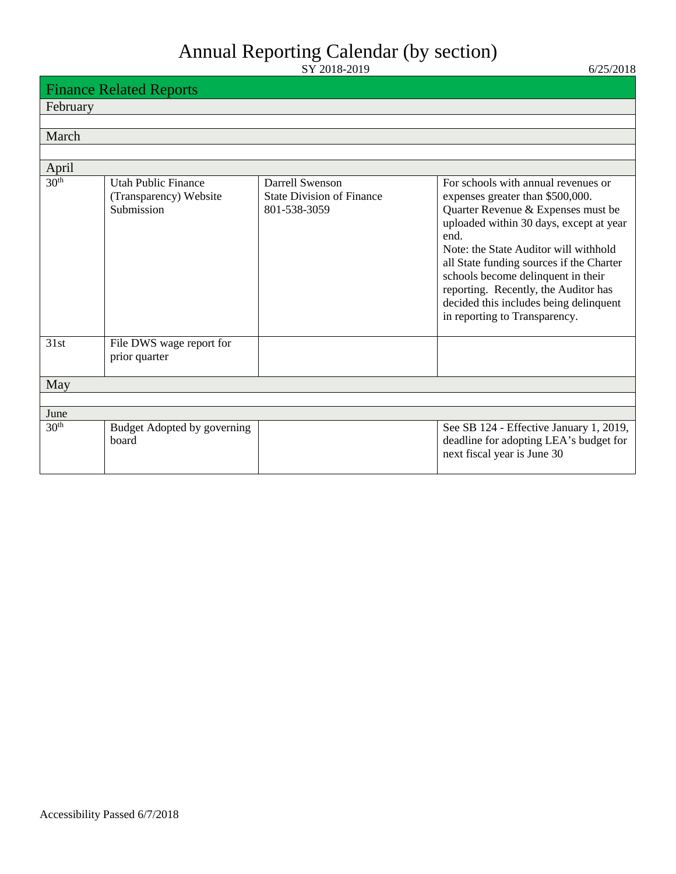|                  | <b>Finance Related Reports</b>                                     |                                                                     |                                                                                                                                                                                                                                                                                                                                                                                                                |
|------------------|--------------------------------------------------------------------|---------------------------------------------------------------------|----------------------------------------------------------------------------------------------------------------------------------------------------------------------------------------------------------------------------------------------------------------------------------------------------------------------------------------------------------------------------------------------------------------|
| February         |                                                                    |                                                                     |                                                                                                                                                                                                                                                                                                                                                                                                                |
|                  |                                                                    |                                                                     |                                                                                                                                                                                                                                                                                                                                                                                                                |
| March            |                                                                    |                                                                     |                                                                                                                                                                                                                                                                                                                                                                                                                |
|                  |                                                                    |                                                                     |                                                                                                                                                                                                                                                                                                                                                                                                                |
| April            |                                                                    |                                                                     |                                                                                                                                                                                                                                                                                                                                                                                                                |
| 30 <sup>th</sup> | <b>Utah Public Finance</b><br>(Transparency) Website<br>Submission | Darrell Swenson<br><b>State Division of Finance</b><br>801-538-3059 | For schools with annual revenues or<br>expenses greater than \$500,000.<br>Quarter Revenue & Expenses must be<br>uploaded within 30 days, except at year<br>end.<br>Note: the State Auditor will withhold<br>all State funding sources if the Charter<br>schools become delinquent in their<br>reporting. Recently, the Auditor has<br>decided this includes being delinquent<br>in reporting to Transparency. |
| 31st             | File DWS wage report for<br>prior quarter                          |                                                                     |                                                                                                                                                                                                                                                                                                                                                                                                                |
| May              |                                                                    |                                                                     |                                                                                                                                                                                                                                                                                                                                                                                                                |
|                  |                                                                    |                                                                     |                                                                                                                                                                                                                                                                                                                                                                                                                |
| June             |                                                                    |                                                                     |                                                                                                                                                                                                                                                                                                                                                                                                                |
| 30 <sup>th</sup> | Budget Adopted by governing<br>board                               |                                                                     | See SB 124 - Effective January 1, 2019,<br>deadline for adopting LEA's budget for<br>next fiscal year is June 30                                                                                                                                                                                                                                                                                               |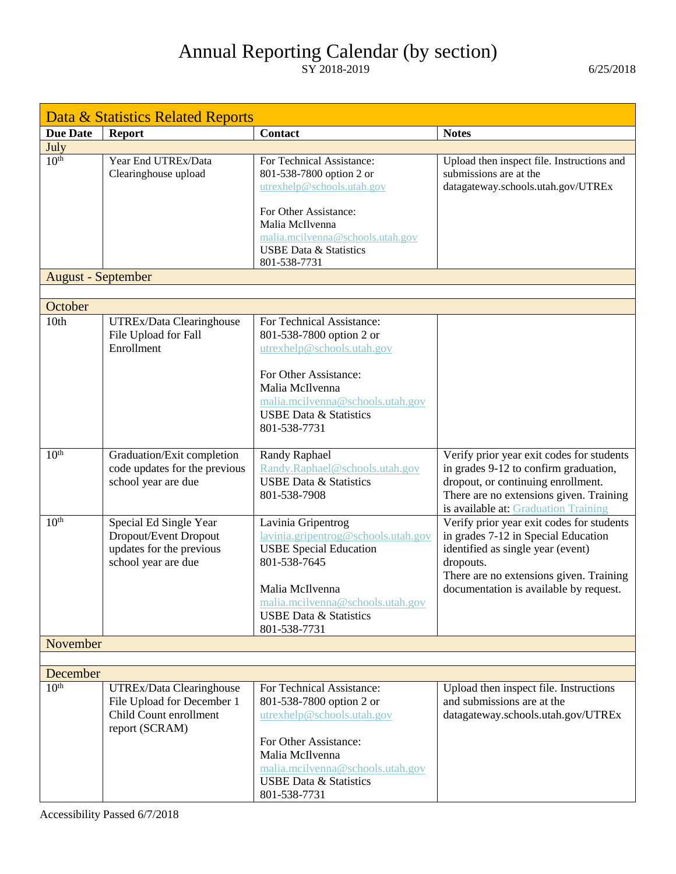<span id="page-6-0"></span>

| Data & Statistics Related Reports |                                                             |                                                                       |                                                                                    |
|-----------------------------------|-------------------------------------------------------------|-----------------------------------------------------------------------|------------------------------------------------------------------------------------|
| <b>Due Date</b>                   | <b>Report</b>                                               | Contact                                                               | <b>Notes</b>                                                                       |
| July                              |                                                             |                                                                       |                                                                                    |
| 10 <sup>th</sup>                  | Year End UTREx/Data                                         | For Technical Assistance:                                             | Upload then inspect file. Instructions and                                         |
|                                   | Clearinghouse upload                                        | 801-538-7800 option 2 or<br>utrexhelp@schools.utah.gov                | submissions are at the<br>datagateway.schools.utah.gov/UTREx                       |
|                                   |                                                             |                                                                       |                                                                                    |
|                                   |                                                             | For Other Assistance:                                                 |                                                                                    |
|                                   |                                                             | Malia McIlvenna<br>malia.mcilvenna@schools.utah.gov                   |                                                                                    |
|                                   |                                                             | <b>USBE Data &amp; Statistics</b>                                     |                                                                                    |
|                                   |                                                             | 801-538-7731                                                          |                                                                                    |
| <b>August</b> - September         |                                                             |                                                                       |                                                                                    |
|                                   |                                                             |                                                                       |                                                                                    |
| October                           |                                                             |                                                                       |                                                                                    |
| 10 <sub>th</sub>                  | UTREx/Data Clearinghouse<br>File Upload for Fall            | For Technical Assistance:<br>801-538-7800 option 2 or                 |                                                                                    |
|                                   | Enrollment                                                  | utrexhelp@schools.utah.gov                                            |                                                                                    |
|                                   |                                                             |                                                                       |                                                                                    |
|                                   |                                                             | For Other Assistance:                                                 |                                                                                    |
|                                   |                                                             | Malia McIlvenna<br>malia.mcilvenna@schools.utah.gov                   |                                                                                    |
|                                   |                                                             | <b>USBE Data &amp; Statistics</b>                                     |                                                                                    |
|                                   |                                                             | 801-538-7731                                                          |                                                                                    |
|                                   |                                                             |                                                                       |                                                                                    |
| 10 <sup>th</sup>                  | Graduation/Exit completion<br>code updates for the previous | <b>Randy Raphael</b><br>Randy.Raphael@schools.utah.gov                | Verify prior year exit codes for students<br>in grades 9-12 to confirm graduation, |
|                                   | school year are due                                         | <b>USBE Data &amp; Statistics</b>                                     | dropout, or continuing enrollment.                                                 |
|                                   |                                                             | 801-538-7908                                                          | There are no extensions given. Training                                            |
|                                   |                                                             |                                                                       | is available at: Graduation Training                                               |
| 10 <sup>th</sup>                  | Special Ed Single Year<br>Dropout/Event Dropout             | Lavinia Gripentrog<br>lavinia.gripentrog@schools.utah.gov             | Verify prior year exit codes for students                                          |
|                                   | updates for the previous                                    | <b>USBE Special Education</b>                                         | in grades 7-12 in Special Education<br>identified as single year (event)           |
|                                   | school year are due                                         | 801-538-7645                                                          | dropouts.                                                                          |
|                                   |                                                             |                                                                       | There are no extensions given. Training                                            |
|                                   |                                                             | Malia McIlvenna                                                       | documentation is available by request.                                             |
|                                   |                                                             | malia.mcilvenna@schools.utah.gov<br><b>USBE Data &amp; Statistics</b> |                                                                                    |
|                                   |                                                             | 801-538-7731                                                          |                                                                                    |
| November                          |                                                             |                                                                       |                                                                                    |
|                                   |                                                             |                                                                       |                                                                                    |
| December                          |                                                             |                                                                       |                                                                                    |
| 10 <sup>th</sup>                  | UTREx/Data Clearinghouse                                    | For Technical Assistance:                                             | Upload then inspect file. Instructions<br>and submissions are at the               |
|                                   | File Upload for December 1<br>Child Count enrollment        | 801-538-7800 option 2 or<br>utrexhelp@schools.utah.gov                | datagateway.schools.utah.gov/UTREx                                                 |
|                                   | report (SCRAM)                                              |                                                                       |                                                                                    |
|                                   |                                                             | For Other Assistance:                                                 |                                                                                    |
|                                   |                                                             | Malia McIlvenna                                                       |                                                                                    |
|                                   |                                                             | malia.mcilvenna@schools.utah.gov<br><b>USBE Data &amp; Statistics</b> |                                                                                    |
|                                   |                                                             | 801-538-7731                                                          |                                                                                    |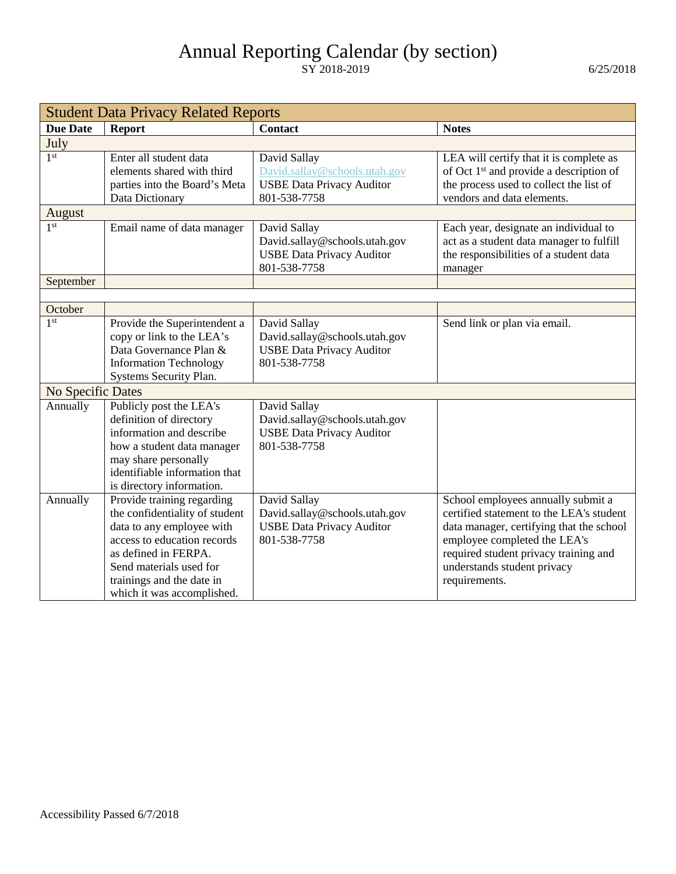| <b>Student Data Privacy Related Reports</b> |                                |                                  |                                                     |
|---------------------------------------------|--------------------------------|----------------------------------|-----------------------------------------------------|
| <b>Due Date</b>                             | <b>Report</b>                  | <b>Contact</b>                   | <b>Notes</b>                                        |
| July                                        |                                |                                  |                                                     |
| 1 <sup>st</sup>                             | Enter all student data         | David Sallay                     | LEA will certify that it is complete as             |
|                                             | elements shared with third     | David.sallay@schools.utah.gov    | of Oct 1 <sup>st</sup> and provide a description of |
|                                             | parties into the Board's Meta  | <b>USBE Data Privacy Auditor</b> | the process used to collect the list of             |
|                                             | Data Dictionary                | 801-538-7758                     | vendors and data elements.                          |
| August                                      |                                |                                  |                                                     |
| 1 <sup>st</sup>                             | Email name of data manager     | David Sallay                     | Each year, designate an individual to               |
|                                             |                                | David.sallay@schools.utah.gov    | act as a student data manager to fulfill            |
|                                             |                                | <b>USBE Data Privacy Auditor</b> | the responsibilities of a student data              |
|                                             |                                | 801-538-7758                     | manager                                             |
| September                                   |                                |                                  |                                                     |
|                                             |                                |                                  |                                                     |
| October                                     |                                |                                  |                                                     |
| 1 <sup>st</sup>                             | Provide the Superintendent a   | David Sallay                     | Send link or plan via email.                        |
|                                             | copy or link to the LEA's      | David.sallay@schools.utah.gov    |                                                     |
|                                             | Data Governance Plan &         | <b>USBE Data Privacy Auditor</b> |                                                     |
|                                             | <b>Information Technology</b>  | 801-538-7758                     |                                                     |
|                                             | Systems Security Plan.         |                                  |                                                     |
| No Specific Dates                           |                                |                                  |                                                     |
| Annually                                    | Publicly post the LEA's        | David Sallay                     |                                                     |
|                                             | definition of directory        | David.sallay@schools.utah.gov    |                                                     |
|                                             | information and describe       | <b>USBE Data Privacy Auditor</b> |                                                     |
|                                             | how a student data manager     | 801-538-7758                     |                                                     |
|                                             | may share personally           |                                  |                                                     |
|                                             | identifiable information that  |                                  |                                                     |
|                                             | is directory information.      |                                  |                                                     |
| Annually                                    | Provide training regarding     | David Sallay                     | School employees annually submit a                  |
|                                             | the confidentiality of student | David.sallay@schools.utah.gov    | certified statement to the LEA's student            |
|                                             | data to any employee with      | <b>USBE Data Privacy Auditor</b> | data manager, certifying that the school            |
|                                             | access to education records    | 801-538-7758                     | employee completed the LEA's                        |
|                                             | as defined in FERPA.           |                                  | required student privacy training and               |
|                                             | Send materials used for        |                                  | understands student privacy                         |
|                                             | trainings and the date in      |                                  | requirements.                                       |
|                                             | which it was accomplished.     |                                  |                                                     |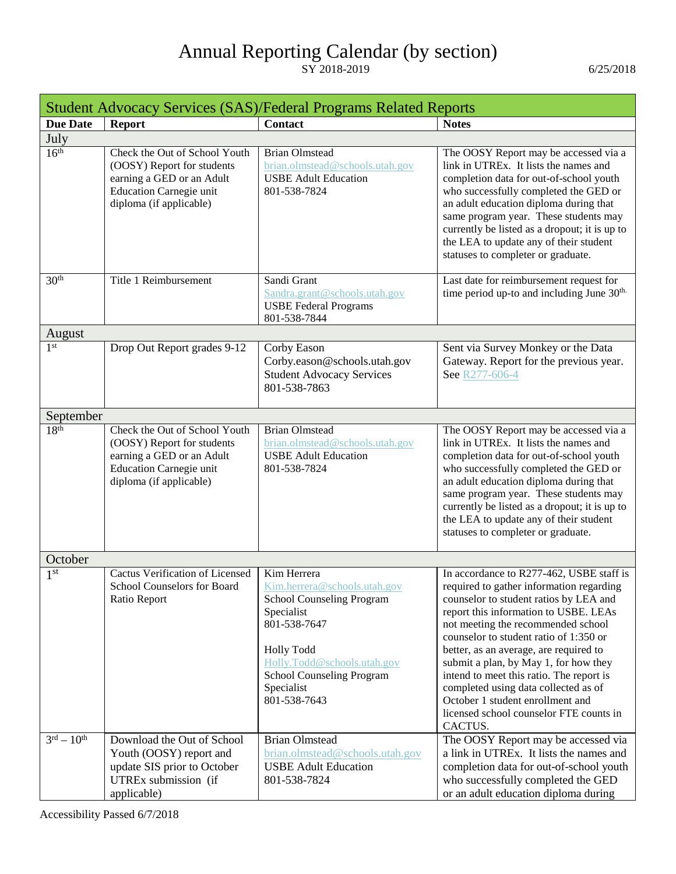<span id="page-8-0"></span>

| <b>Student Advocacy Services (SAS)/Federal Programs Related Reports</b> |                                                                                                                                                       |                                                                                                                                                                                                                       |                                                                                                                                                                                                                                                                                                                                                                                                                                                                    |
|-------------------------------------------------------------------------|-------------------------------------------------------------------------------------------------------------------------------------------------------|-----------------------------------------------------------------------------------------------------------------------------------------------------------------------------------------------------------------------|--------------------------------------------------------------------------------------------------------------------------------------------------------------------------------------------------------------------------------------------------------------------------------------------------------------------------------------------------------------------------------------------------------------------------------------------------------------------|
| <b>Due Date</b>                                                         | <b>Report</b>                                                                                                                                         | <b>Contact</b>                                                                                                                                                                                                        | <b>Notes</b>                                                                                                                                                                                                                                                                                                                                                                                                                                                       |
| July                                                                    |                                                                                                                                                       |                                                                                                                                                                                                                       |                                                                                                                                                                                                                                                                                                                                                                                                                                                                    |
| 16 <sup>th</sup>                                                        | Check the Out of School Youth<br>(OOSY) Report for students<br>earning a GED or an Adult<br><b>Education Carnegie unit</b><br>diploma (if applicable) | <b>Brian Olmstead</b><br>brian.olmstead@schools.utah.gov<br><b>USBE Adult Education</b><br>801-538-7824                                                                                                               | The OOSY Report may be accessed via a<br>link in UTREx. It lists the names and<br>completion data for out-of-school youth<br>who successfully completed the GED or<br>an adult education diploma during that<br>same program year. These students may<br>currently be listed as a dropout; it is up to<br>the LEA to update any of their student<br>statuses to completer or graduate.                                                                             |
| 30 <sup>th</sup>                                                        | Title 1 Reimbursement                                                                                                                                 | Sandi Grant<br>Sandra.grant@schools.utah.gov<br><b>USBE Federal Programs</b><br>801-538-7844                                                                                                                          | Last date for reimbursement request for<br>time period up-to and including June 30 <sup>th.</sup>                                                                                                                                                                                                                                                                                                                                                                  |
| August                                                                  |                                                                                                                                                       |                                                                                                                                                                                                                       |                                                                                                                                                                                                                                                                                                                                                                                                                                                                    |
| 1 <sup>st</sup>                                                         | Drop Out Report grades 9-12                                                                                                                           | Corby Eason<br>Corby.eason@schools.utah.gov<br><b>Student Advocacy Services</b><br>801-538-7863                                                                                                                       | Sent via Survey Monkey or the Data<br>Gateway. Report for the previous year.<br>See R277-606-4                                                                                                                                                                                                                                                                                                                                                                     |
| September                                                               |                                                                                                                                                       |                                                                                                                                                                                                                       |                                                                                                                                                                                                                                                                                                                                                                                                                                                                    |
| 18 <sup>th</sup>                                                        | Check the Out of School Youth<br>(OOSY) Report for students<br>earning a GED or an Adult<br><b>Education Carnegie unit</b><br>diploma (if applicable) | <b>Brian Olmstead</b><br>brian.olmstead@schools.utah.gov<br><b>USBE Adult Education</b><br>801-538-7824                                                                                                               | The OOSY Report may be accessed via a<br>link in UTREx. It lists the names and<br>completion data for out-of-school youth<br>who successfully completed the GED or<br>an adult education diploma during that<br>same program year. These students may<br>currently be listed as a dropout; it is up to<br>the LEA to update any of their student<br>statuses to completer or graduate.                                                                             |
| October                                                                 |                                                                                                                                                       |                                                                                                                                                                                                                       |                                                                                                                                                                                                                                                                                                                                                                                                                                                                    |
| 1 <sup>st</sup>                                                         | <b>Cactus Verification of Licensed</b><br>School Counselors for Board<br>Ratio Report                                                                 | Kim Herrera<br>Kim.herrera@schools.utah.gov<br>School Counseling Program<br>Specialist<br>801-538-7647<br><b>Holly Todd</b><br>Holly.Todd@schools.utah.gov<br>School Counseling Program<br>Specialist<br>801-538-7643 | In accordance to R277-462, USBE staff is<br>required to gather information regarding<br>counselor to student ratios by LEA and<br>report this information to USBE. LEAs<br>not meeting the recommended school<br>counselor to student ratio of 1:350 or<br>better, as an average, are required to<br>submit a plan, by May 1, for how they<br>intend to meet this ratio. The report is<br>completed using data collected as of<br>October 1 student enrollment and |
|                                                                         |                                                                                                                                                       |                                                                                                                                                                                                                       | licensed school counselor FTE counts in<br>CACTUS.                                                                                                                                                                                                                                                                                                                                                                                                                 |
| $3^{rd} - 10^{th}$                                                      | Download the Out of School<br>Youth (OOSY) report and<br>update SIS prior to October<br>UTREx submission (if<br>applicable)                           | <b>Brian Olmstead</b><br>brian.olmstead@schools.utah.gov<br><b>USBE Adult Education</b><br>801-538-7824                                                                                                               | The OOSY Report may be accessed via<br>a link in UTREx. It lists the names and<br>completion data for out-of-school youth<br>who successfully completed the GED<br>or an adult education diploma during                                                                                                                                                                                                                                                            |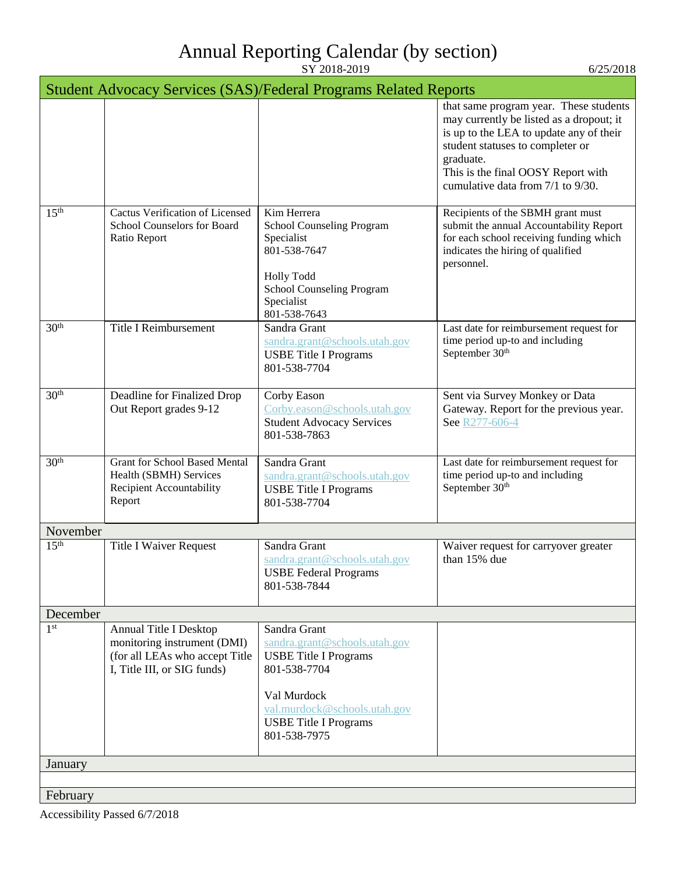|                  |                                                                                                                        | <b>Student Advocacy Services (SAS)/Federal Programs Related Reports</b>                                                                                                                      |                                                                                                                                                                                                                                                           |
|------------------|------------------------------------------------------------------------------------------------------------------------|----------------------------------------------------------------------------------------------------------------------------------------------------------------------------------------------|-----------------------------------------------------------------------------------------------------------------------------------------------------------------------------------------------------------------------------------------------------------|
|                  |                                                                                                                        |                                                                                                                                                                                              | that same program year. These students<br>may currently be listed as a dropout; it<br>is up to the LEA to update any of their<br>student statuses to completer or<br>graduate.<br>This is the final OOSY Report with<br>cumulative data from 7/1 to 9/30. |
| 15 <sup>th</sup> | Cactus Verification of Licensed<br>School Counselors for Board<br>Ratio Report                                         | Kim Herrera<br>School Counseling Program<br>Specialist<br>801-538-7647<br><b>Holly Todd</b><br>School Counseling Program<br>Specialist<br>801-538-7643                                       | Recipients of the SBMH grant must<br>submit the annual Accountability Report<br>for each school receiving funding which<br>indicates the hiring of qualified<br>personnel.                                                                                |
| 30 <sup>th</sup> | <b>Title I Reimbursement</b>                                                                                           | Sandra Grant<br>sandra.grant@schools.utah.gov<br><b>USBE Title I Programs</b><br>801-538-7704                                                                                                | Last date for reimbursement request for<br>time period up-to and including<br>September 30 <sup>th</sup>                                                                                                                                                  |
| 30 <sup>th</sup> | Deadline for Finalized Drop<br>Out Report grades 9-12                                                                  | Corby Eason<br>Corby.eason@schools.utah.gov<br><b>Student Advocacy Services</b><br>801-538-7863                                                                                              | Sent via Survey Monkey or Data<br>Gateway. Report for the previous year.<br>See R277-606-4                                                                                                                                                                |
| 30 <sup>th</sup> | <b>Grant for School Based Mental</b><br>Health (SBMH) Services<br>Recipient Accountability<br>Report                   | Sandra Grant<br>sandra.grant@schools.utah.gov<br><b>USBE</b> Title I Programs<br>801-538-7704                                                                                                | Last date for reimbursement request for<br>time period up-to and including<br>September 30 <sup>th</sup>                                                                                                                                                  |
| November         |                                                                                                                        |                                                                                                                                                                                              |                                                                                                                                                                                                                                                           |
| 15 <sup>th</sup> | <b>Title I Waiver Request</b>                                                                                          | Sandra Grant<br>sandra.grant@schools.utah.gov<br><b>USBE Federal Programs</b><br>801-538-7844                                                                                                | Waiver request for carryover greater<br>than 15% due                                                                                                                                                                                                      |
| December         |                                                                                                                        |                                                                                                                                                                                              |                                                                                                                                                                                                                                                           |
| 1 <sup>st</sup>  | Annual Title I Desktop<br>monitoring instrument (DMI)<br>(for all LEAs who accept Title<br>I, Title III, or SIG funds) | Sandra Grant<br>sandra.grant@schools.utah.gov<br><b>USBE Title I Programs</b><br>801-538-7704<br>Val Murdock<br>val.murdock@schools.utah.gov<br><b>USBE Title I Programs</b><br>801-538-7975 |                                                                                                                                                                                                                                                           |
| January          |                                                                                                                        |                                                                                                                                                                                              |                                                                                                                                                                                                                                                           |
|                  |                                                                                                                        |                                                                                                                                                                                              |                                                                                                                                                                                                                                                           |
| February         |                                                                                                                        |                                                                                                                                                                                              |                                                                                                                                                                                                                                                           |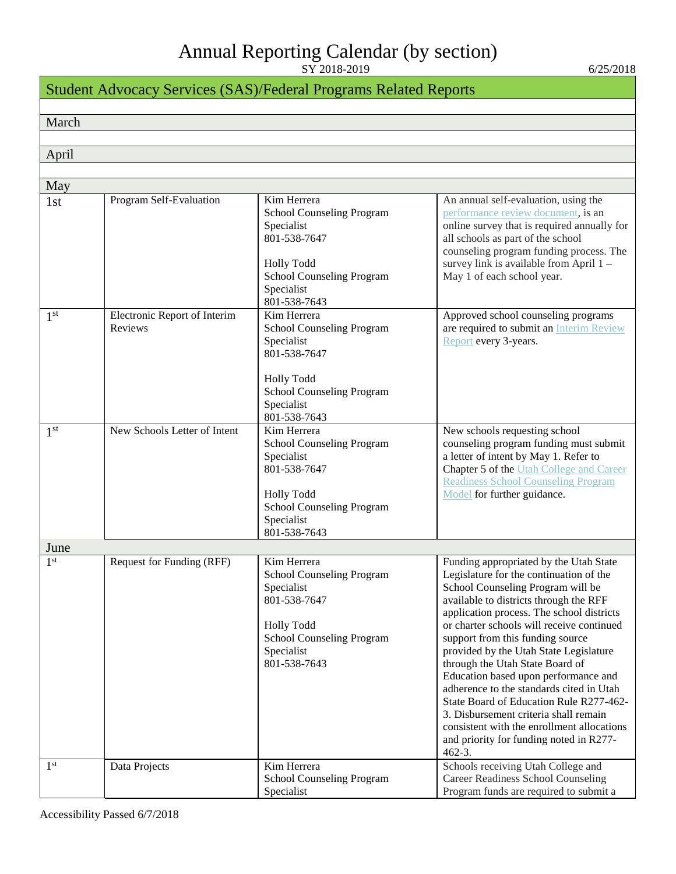| <b>Student Advocacy Services (SAS)/Federal Programs Related Reports</b> |                                         |                                                                                                                                                               |                                                                                                                                                                                                                                                                                                                                                                                                                                                                                                                                                                                                                                                            |
|-------------------------------------------------------------------------|-----------------------------------------|---------------------------------------------------------------------------------------------------------------------------------------------------------------|------------------------------------------------------------------------------------------------------------------------------------------------------------------------------------------------------------------------------------------------------------------------------------------------------------------------------------------------------------------------------------------------------------------------------------------------------------------------------------------------------------------------------------------------------------------------------------------------------------------------------------------------------------|
|                                                                         |                                         |                                                                                                                                                               |                                                                                                                                                                                                                                                                                                                                                                                                                                                                                                                                                                                                                                                            |
| March                                                                   |                                         |                                                                                                                                                               |                                                                                                                                                                                                                                                                                                                                                                                                                                                                                                                                                                                                                                                            |
|                                                                         |                                         |                                                                                                                                                               |                                                                                                                                                                                                                                                                                                                                                                                                                                                                                                                                                                                                                                                            |
| April                                                                   |                                         |                                                                                                                                                               |                                                                                                                                                                                                                                                                                                                                                                                                                                                                                                                                                                                                                                                            |
| May                                                                     |                                         |                                                                                                                                                               |                                                                                                                                                                                                                                                                                                                                                                                                                                                                                                                                                                                                                                                            |
| 1st                                                                     | Program Self-Evaluation                 | Kim Herrera<br>School Counseling Program<br>Specialist<br>801-538-7647<br><b>Holly Todd</b><br>School Counseling Program<br>Specialist<br>801-538-7643        | An annual self-evaluation, using the<br>performance review document, is an<br>online survey that is required annually for<br>all schools as part of the school<br>counseling program funding process. The<br>survey link is available from April 1 -<br>May 1 of each school year.                                                                                                                                                                                                                                                                                                                                                                         |
| 1 <sup>st</sup>                                                         | Electronic Report of Interim<br>Reviews | Kim Herrera<br>School Counseling Program<br>Specialist<br>801-538-7647<br><b>Holly Todd</b><br>School Counseling Program<br>Specialist<br>801-538-7643        | Approved school counseling programs<br>are required to submit an Interim Review<br>Report every 3-years.                                                                                                                                                                                                                                                                                                                                                                                                                                                                                                                                                   |
| 1 <sup>st</sup>                                                         | New Schools Letter of Intent            | Kim Herrera<br>School Counseling Program<br>Specialist<br>801-538-7647<br><b>Holly Todd</b><br>School Counseling Program<br>Specialist<br>801-538-7643        | New schools requesting school<br>counseling program funding must submit<br>a letter of intent by May 1. Refer to<br>Chapter 5 of the Utah College and Career<br><b>Readiness School Counseling Program</b><br>Model for further guidance.                                                                                                                                                                                                                                                                                                                                                                                                                  |
| June                                                                    |                                         |                                                                                                                                                               |                                                                                                                                                                                                                                                                                                                                                                                                                                                                                                                                                                                                                                                            |
| 1 <sup>st</sup>                                                         | Request for Funding (RFF)               | Kim Herrera<br><b>School Counseling Program</b><br>Specialist<br>801-538-7647<br><b>Holly Todd</b><br>School Counseling Program<br>Specialist<br>801-538-7643 | Funding appropriated by the Utah State<br>Legislature for the continuation of the<br>School Counseling Program will be<br>available to districts through the RFF<br>application process. The school districts<br>or charter schools will receive continued<br>support from this funding source<br>provided by the Utah State Legislature<br>through the Utah State Board of<br>Education based upon performance and<br>adherence to the standards cited in Utah<br>State Board of Education Rule R277-462-<br>3. Disbursement criteria shall remain<br>consistent with the enrollment allocations<br>and priority for funding noted in R277-<br>$462 - 3.$ |
| 1 <sup>st</sup>                                                         | Data Projects                           | Kim Herrera<br>School Counseling Program<br>Specialist                                                                                                        | Schools receiving Utah College and<br>Career Readiness School Counseling<br>Program funds are required to submit a                                                                                                                                                                                                                                                                                                                                                                                                                                                                                                                                         |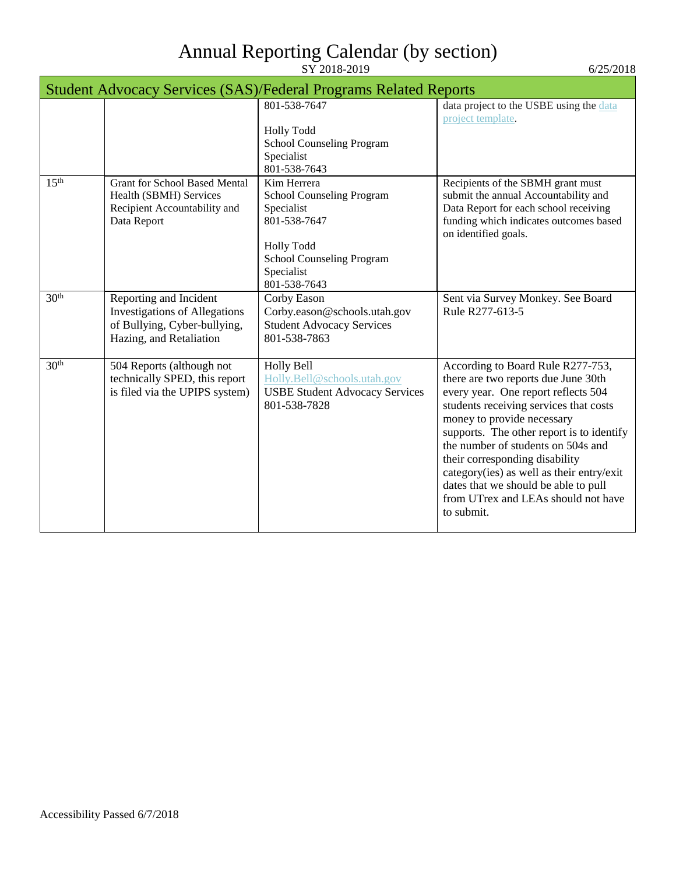| <b>Student Advocacy Services (SAS)/Federal Programs Related Reports</b> |                                                                                                                           |                                                                                                                                                        |                                                                                                                                                                                                                                                                                                                                                                                                                                                        |
|-------------------------------------------------------------------------|---------------------------------------------------------------------------------------------------------------------------|--------------------------------------------------------------------------------------------------------------------------------------------------------|--------------------------------------------------------------------------------------------------------------------------------------------------------------------------------------------------------------------------------------------------------------------------------------------------------------------------------------------------------------------------------------------------------------------------------------------------------|
|                                                                         |                                                                                                                           | 801-538-7647                                                                                                                                           | data project to the USBE using the data<br>project template.                                                                                                                                                                                                                                                                                                                                                                                           |
|                                                                         |                                                                                                                           | <b>Holly Todd</b>                                                                                                                                      |                                                                                                                                                                                                                                                                                                                                                                                                                                                        |
|                                                                         |                                                                                                                           | School Counseling Program<br>Specialist<br>801-538-7643                                                                                                |                                                                                                                                                                                                                                                                                                                                                                                                                                                        |
| 15 <sup>th</sup>                                                        | <b>Grant for School Based Mental</b><br>Health (SBMH) Services<br>Recipient Accountability and<br>Data Report             | Kim Herrera<br>School Counseling Program<br>Specialist<br>801-538-7647<br><b>Holly Todd</b><br>School Counseling Program<br>Specialist<br>801-538-7643 | Recipients of the SBMH grant must<br>submit the annual Accountability and<br>Data Report for each school receiving<br>funding which indicates outcomes based<br>on identified goals.                                                                                                                                                                                                                                                                   |
| 30 <sup>th</sup>                                                        | Reporting and Incident<br><b>Investigations of Allegations</b><br>of Bullying, Cyber-bullying,<br>Hazing, and Retaliation | Corby Eason<br>Corby.eason@schools.utah.gov<br><b>Student Advocacy Services</b><br>801-538-7863                                                        | Sent via Survey Monkey. See Board<br>Rule R277-613-5                                                                                                                                                                                                                                                                                                                                                                                                   |
| 30 <sup>th</sup>                                                        | 504 Reports (although not<br>technically SPED, this report<br>is filed via the UPIPS system)                              | Holly Bell<br>Holly.Bell@schools.utah.gov<br><b>USBE Student Advocacy Services</b><br>801-538-7828                                                     | According to Board Rule R277-753,<br>there are two reports due June 30th<br>every year. One report reflects 504<br>students receiving services that costs<br>money to provide necessary<br>supports. The other report is to identify<br>the number of students on 504s and<br>their corresponding disability<br>category(ies) as well as their entry/exit<br>dates that we should be able to pull<br>from UTrex and LEAs should not have<br>to submit. |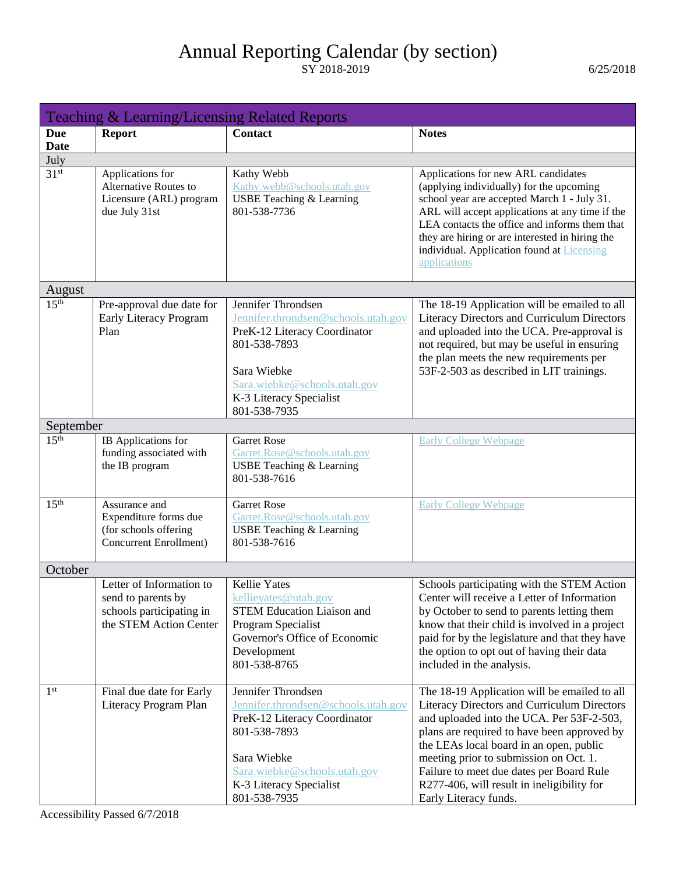<span id="page-12-0"></span>

|                    | Teaching & Learning/Licensing Related Reports                                                        |                                                                                                                                                                                                     |                                                                                                                                                                                                                                                                                                                                                                                                 |  |
|--------------------|------------------------------------------------------------------------------------------------------|-----------------------------------------------------------------------------------------------------------------------------------------------------------------------------------------------------|-------------------------------------------------------------------------------------------------------------------------------------------------------------------------------------------------------------------------------------------------------------------------------------------------------------------------------------------------------------------------------------------------|--|
| Due<br><b>Date</b> | <b>Report</b>                                                                                        | <b>Contact</b>                                                                                                                                                                                      | <b>Notes</b>                                                                                                                                                                                                                                                                                                                                                                                    |  |
| July               |                                                                                                      |                                                                                                                                                                                                     |                                                                                                                                                                                                                                                                                                                                                                                                 |  |
| 31 <sup>st</sup>   | Applications for<br><b>Alternative Routes to</b><br>Licensure (ARL) program<br>due July 31st         | Kathy Webb<br>Kathy.webb@schools.utah.gov<br><b>USBE Teaching &amp; Learning</b><br>801-538-7736                                                                                                    | Applications for new ARL candidates<br>(applying individually) for the upcoming<br>school year are accepted March 1 - July 31.<br>ARL will accept applications at any time if the<br>LEA contacts the office and informs them that<br>they are hiring or are interested in hiring the<br>individual. Application found at Licensing<br>applications                                             |  |
| August             |                                                                                                      |                                                                                                                                                                                                     |                                                                                                                                                                                                                                                                                                                                                                                                 |  |
| 15 <sup>th</sup>   | Pre-approval due date for<br><b>Early Literacy Program</b><br>Plan                                   | Jennifer Throndsen<br>Jennifer.throndsen@schools.utah.gov<br>PreK-12 Literacy Coordinator<br>801-538-7893<br>Sara Wiebke<br>Sara.wiebke@schools.utah.gov<br>K-3 Literacy Specialist<br>801-538-7935 | The 18-19 Application will be emailed to all<br>Literacy Directors and Curriculum Directors<br>and uploaded into the UCA. Pre-approval is<br>not required, but may be useful in ensuring<br>the plan meets the new requirements per<br>53F-2-503 as described in LIT trainings.                                                                                                                 |  |
| September          |                                                                                                      |                                                                                                                                                                                                     |                                                                                                                                                                                                                                                                                                                                                                                                 |  |
| 15 <sup>th</sup>   | IB Applications for<br>funding associated with<br>the IB program                                     | <b>Garret Rose</b><br>Garret.Rose@schools.utah.gov<br>USBE Teaching & Learning<br>801-538-7616                                                                                                      | <b>Early College Webpage</b>                                                                                                                                                                                                                                                                                                                                                                    |  |
| 15 <sup>th</sup>   | Assurance and<br>Expenditure forms due<br>(for schools offering<br><b>Concurrent Enrollment</b> )    | <b>Garret Rose</b><br>Garret.Rose@schools.utah.gov<br><b>USBE Teaching &amp; Learning</b><br>801-538-7616                                                                                           | <b>Early College Webpage</b>                                                                                                                                                                                                                                                                                                                                                                    |  |
| October            |                                                                                                      |                                                                                                                                                                                                     |                                                                                                                                                                                                                                                                                                                                                                                                 |  |
|                    | Letter of Information to<br>send to parents by<br>schools participating in<br>the STEM Action Center | <b>Kellie Yates</b><br>kellievates@utah.gov<br><b>STEM Education Liaison and</b><br>Program Specialist<br>Governor's Office of Economic<br>Development<br>801-538-8765                              | Schools participating with the STEM Action<br>Center will receive a Letter of Information<br>by October to send to parents letting them<br>know that their child is involved in a project<br>paid for by the legislature and that they have<br>the option to opt out of having their data<br>included in the analysis.                                                                          |  |
| 1 <sup>st</sup>    | Final due date for Early<br>Literacy Program Plan                                                    | Jennifer Throndsen<br>Jennifer.throndsen@schools.utah.gov<br>PreK-12 Literacy Coordinator<br>801-538-7893<br>Sara Wiebke<br>Sara.wiebke@schools.utah.gov<br>K-3 Literacy Specialist<br>801-538-7935 | The 18-19 Application will be emailed to all<br>Literacy Directors and Curriculum Directors<br>and uploaded into the UCA. Per 53F-2-503,<br>plans are required to have been approved by<br>the LEAs local board in an open, public<br>meeting prior to submission on Oct. 1.<br>Failure to meet due dates per Board Rule<br>R277-406, will result in ineligibility for<br>Early Literacy funds. |  |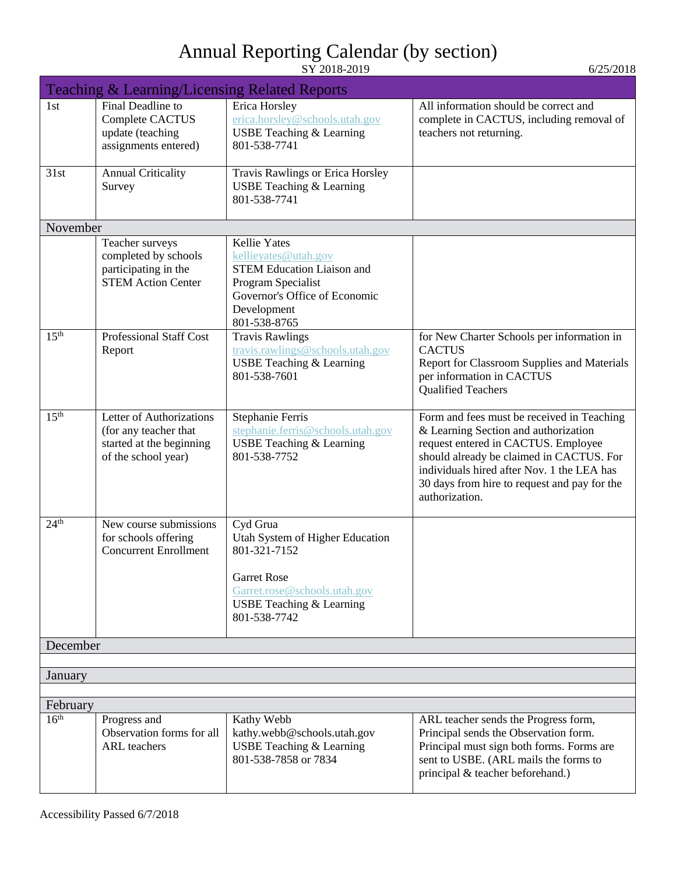|                  | <b>Teaching &amp; Learning/Licensing Related Reports</b>                                             |                                                                                                                                                                          |                                                                                                                                                                                                                                                                                       |
|------------------|------------------------------------------------------------------------------------------------------|--------------------------------------------------------------------------------------------------------------------------------------------------------------------------|---------------------------------------------------------------------------------------------------------------------------------------------------------------------------------------------------------------------------------------------------------------------------------------|
| 1 <sub>st</sub>  | Final Deadline to<br>Complete CACTUS<br>update (teaching<br>assignments entered)                     | Erica Horsley<br>erica.horsley@schools.utah.gov<br>USBE Teaching & Learning<br>801-538-7741                                                                              | All information should be correct and<br>complete in CACTUS, including removal of<br>teachers not returning.                                                                                                                                                                          |
| 31st             | <b>Annual Criticality</b><br>Survey                                                                  | <b>Travis Rawlings or Erica Horsley</b><br><b>USBE Teaching &amp; Learning</b><br>801-538-7741                                                                           |                                                                                                                                                                                                                                                                                       |
| November         |                                                                                                      |                                                                                                                                                                          |                                                                                                                                                                                                                                                                                       |
|                  | Teacher surveys<br>completed by schools<br>participating in the<br><b>STEM Action Center</b>         | <b>Kellie</b> Yates<br>kellieyates@utah.gov<br><b>STEM Education Liaison and</b><br>Program Specialist<br>Governor's Office of Economic<br>Development<br>801-538-8765   |                                                                                                                                                                                                                                                                                       |
| 15 <sup>th</sup> | <b>Professional Staff Cost</b><br>Report                                                             | <b>Travis Rawlings</b><br>travis.rawlings@schools.utah.gov<br><b>USBE Teaching &amp; Learning</b><br>801-538-7601                                                        | for New Charter Schools per information in<br><b>CACTUS</b><br>Report for Classroom Supplies and Materials<br>per information in CACTUS<br><b>Qualified Teachers</b>                                                                                                                  |
| 15 <sup>th</sup> | Letter of Authorizations<br>(for any teacher that<br>started at the beginning<br>of the school year) | Stephanie Ferris<br>stephanie.ferris@schools.utah.gov<br><b>USBE Teaching &amp; Learning</b><br>801-538-7752                                                             | Form and fees must be received in Teaching<br>& Learning Section and authorization<br>request entered in CACTUS. Employee<br>should already be claimed in CACTUS. For<br>individuals hired after Nov. 1 the LEA has<br>30 days from hire to request and pay for the<br>authorization. |
| 24 <sup>th</sup> | New course submissions<br>for schools offering<br><b>Concurrent Enrollment</b>                       | Cyd Grua<br>Utah System of Higher Education<br>801-321-7152<br><b>Garret Rose</b><br>Garret.rose@schools.utah.gov<br><b>USBE Teaching &amp; Learning</b><br>801-538-7742 |                                                                                                                                                                                                                                                                                       |
| December         |                                                                                                      |                                                                                                                                                                          |                                                                                                                                                                                                                                                                                       |
|                  |                                                                                                      |                                                                                                                                                                          |                                                                                                                                                                                                                                                                                       |
| January          |                                                                                                      |                                                                                                                                                                          |                                                                                                                                                                                                                                                                                       |
| February         |                                                                                                      |                                                                                                                                                                          |                                                                                                                                                                                                                                                                                       |
| 16 <sup>th</sup> | Progress and<br>Observation forms for all<br><b>ARL</b> teachers                                     | Kathy Webb<br>kathy.webb@schools.utah.gov<br><b>USBE Teaching &amp; Learning</b><br>801-538-7858 or 7834                                                                 | ARL teacher sends the Progress form,<br>Principal sends the Observation form.<br>Principal must sign both forms. Forms are<br>sent to USBE. (ARL mails the forms to<br>principal & teacher beforehand.)                                                                               |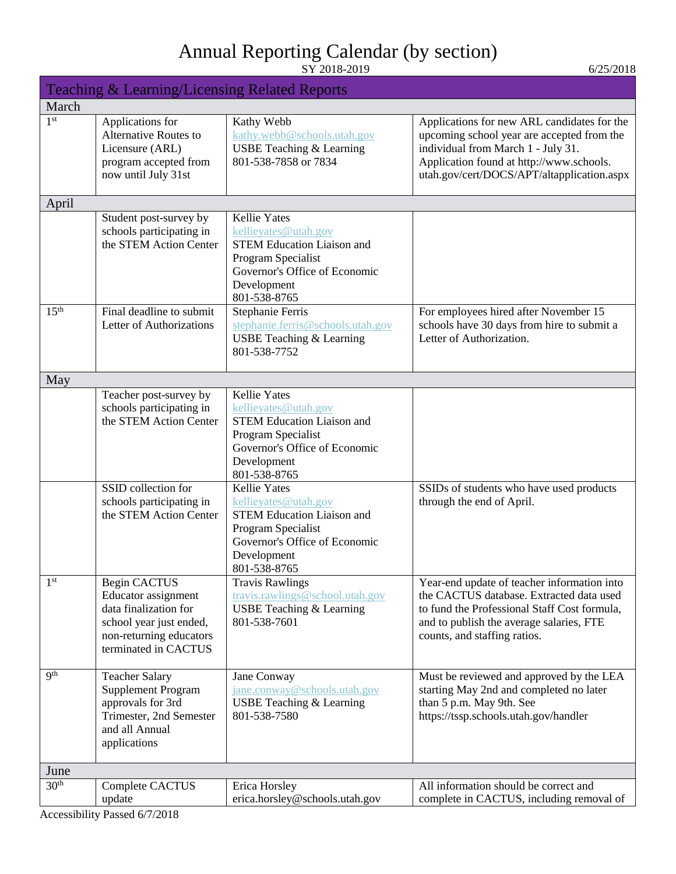| SY 2018-2019 |
|--------------|

| Teaching & Learning/Licensing Related Reports |                                                                                                                                                   |                                                                                                                                                                        |                                                                                                                                                                                                                           |
|-----------------------------------------------|---------------------------------------------------------------------------------------------------------------------------------------------------|------------------------------------------------------------------------------------------------------------------------------------------------------------------------|---------------------------------------------------------------------------------------------------------------------------------------------------------------------------------------------------------------------------|
| March                                         |                                                                                                                                                   |                                                                                                                                                                        |                                                                                                                                                                                                                           |
| 1 <sup>st</sup>                               | Applications for<br><b>Alternative Routes to</b><br>Licensure (ARL)<br>program accepted from<br>now until July 31st                               | Kathy Webb<br>kathy.webb@schools.utah.gov<br><b>USBE Teaching &amp; Learning</b><br>801-538-7858 or 7834                                                               | Applications for new ARL candidates for the<br>upcoming school year are accepted from the<br>individual from March 1 - July 31.<br>Application found at http://www.schools.<br>utah.gov/cert/DOCS/APT/altapplication.aspx |
| April                                         |                                                                                                                                                   |                                                                                                                                                                        |                                                                                                                                                                                                                           |
|                                               | Student post-survey by<br>schools participating in<br>the STEM Action Center                                                                      | <b>Kellie Yates</b><br>kellieyates@utah.gov<br><b>STEM Education Liaison and</b><br>Program Specialist<br>Governor's Office of Economic<br>Development<br>801-538-8765 |                                                                                                                                                                                                                           |
| 15 <sup>th</sup>                              | Final deadline to submit<br>Letter of Authorizations                                                                                              | <b>Stephanie Ferris</b><br>stephanie.ferris@schools.utah.gov<br><b>USBE Teaching &amp; Learning</b><br>801-538-7752                                                    | For employees hired after November 15<br>schools have 30 days from hire to submit a<br>Letter of Authorization.                                                                                                           |
| May                                           |                                                                                                                                                   |                                                                                                                                                                        |                                                                                                                                                                                                                           |
|                                               | Teacher post-survey by<br>schools participating in<br>the STEM Action Center                                                                      | <b>Kellie Yates</b><br>kellievates@utah.gov<br><b>STEM Education Liaison and</b><br>Program Specialist<br>Governor's Office of Economic<br>Development<br>801-538-8765 |                                                                                                                                                                                                                           |
|                                               | SSID collection for<br>schools participating in<br>the STEM Action Center                                                                         | <b>Kellie Yates</b><br>kellieyates@utah.gov<br><b>STEM Education Liaison and</b><br>Program Specialist<br>Governor's Office of Economic<br>Development<br>801-538-8765 | SSIDs of students who have used products<br>through the end of April.                                                                                                                                                     |
| $1^{\rm st}$                                  | <b>Begin CACTUS</b><br>Educator assignment<br>data finalization for<br>school year just ended,<br>non-returning educators<br>terminated in CACTUS | <b>Travis Rawlings</b><br>travis.rawlings@school.utah.gov<br><b>USBE Teaching &amp; Learning</b><br>801-538-7601                                                       | Year-end update of teacher information into<br>the CACTUS database. Extracted data used<br>to fund the Professional Staff Cost formula,<br>and to publish the average salaries, FTE<br>counts, and staffing ratios.       |
| <b>9th</b>                                    | <b>Teacher Salary</b><br><b>Supplement Program</b><br>approvals for 3rd<br>Trimester, 2nd Semester<br>and all Annual<br>applications              | Jane Conway<br>jane.conway@schools.utah.gov<br><b>USBE Teaching &amp; Learning</b><br>801-538-7580                                                                     | Must be reviewed and approved by the LEA<br>starting May 2nd and completed no later<br>than 5 p.m. May 9th. See<br>https://tssp.schools.utah.gov/handler                                                                  |
| June                                          |                                                                                                                                                   |                                                                                                                                                                        |                                                                                                                                                                                                                           |
| 30 <sup>th</sup>                              | Complete CACTUS<br>update                                                                                                                         | Erica Horsley<br>erica.horsley@schools.utah.gov                                                                                                                        | All information should be correct and<br>complete in CACTUS, including removal of                                                                                                                                         |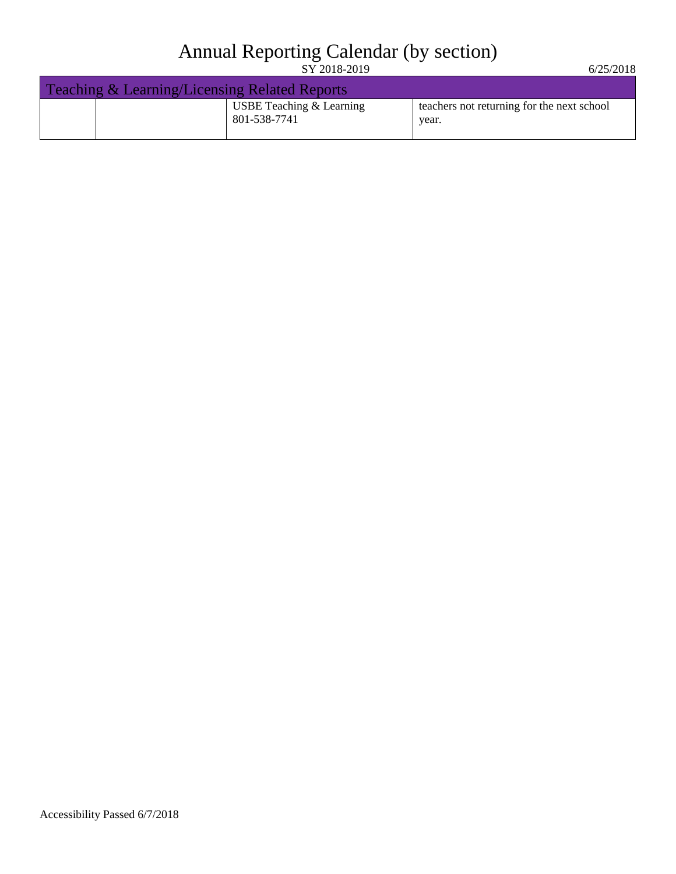Teaching & Learning/Licensing Related Reports USBE Teaching & Learning 801-538-7741 teachers not returning for the next school year.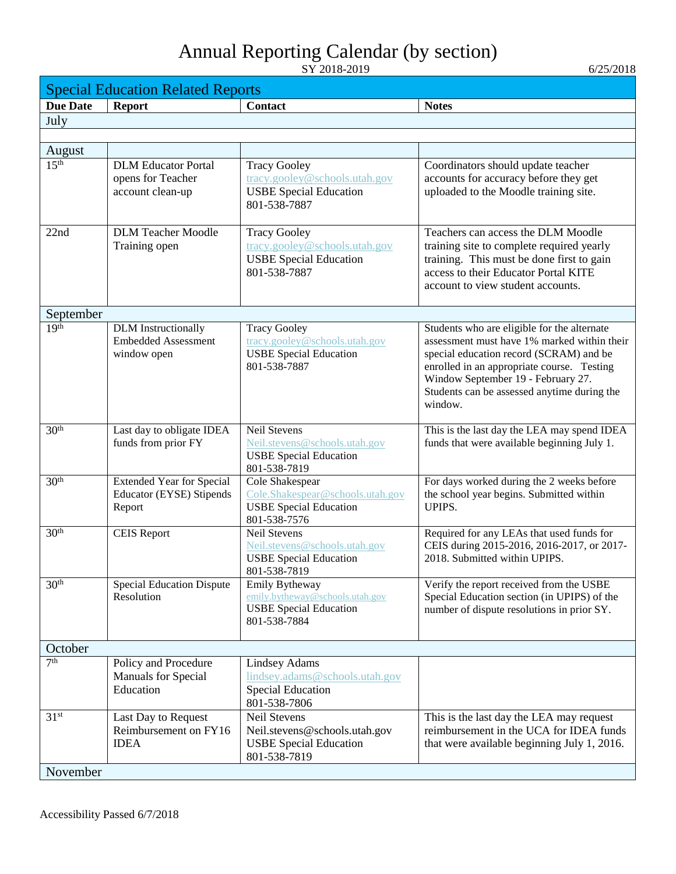<span id="page-16-0"></span>

| <b>Special Education Related Reports</b> |                                  |                                                                  |                                                                                         |
|------------------------------------------|----------------------------------|------------------------------------------------------------------|-----------------------------------------------------------------------------------------|
| <b>Due Date</b>                          | <b>Report</b>                    | Contact                                                          | <b>Notes</b>                                                                            |
| July                                     |                                  |                                                                  |                                                                                         |
|                                          |                                  |                                                                  |                                                                                         |
| August                                   |                                  |                                                                  |                                                                                         |
| 15 <sup>th</sup>                         | <b>DLM</b> Educator Portal       | <b>Tracy Gooley</b>                                              | Coordinators should update teacher                                                      |
|                                          | opens for Teacher                | tracy.gooley@schools.utah.gov                                    | accounts for accuracy before they get                                                   |
|                                          | account clean-up                 | <b>USBE</b> Special Education                                    | uploaded to the Moodle training site.                                                   |
|                                          |                                  | 801-538-7887                                                     |                                                                                         |
| 22nd                                     | <b>DLM Teacher Moodle</b>        | <b>Tracy Gooley</b>                                              | Teachers can access the DLM Moodle                                                      |
|                                          | Training open                    | tracy.gooley@schools.utah.gov                                    | training site to complete required yearly                                               |
|                                          |                                  | <b>USBE Special Education</b>                                    | training. This must be done first to gain                                               |
|                                          |                                  | 801-538-7887                                                     | access to their Educator Portal KITE                                                    |
|                                          |                                  |                                                                  | account to view student accounts.                                                       |
|                                          |                                  |                                                                  |                                                                                         |
| September<br>19 <sup>th</sup>            | <b>DLM</b> Instructionally       | <b>Tracy Gooley</b>                                              | Students who are eligible for the alternate                                             |
|                                          | <b>Embedded Assessment</b>       | tracy.gooley@schools.utah.gov                                    | assessment must have 1% marked within their                                             |
|                                          | window open                      | <b>USBE Special Education</b>                                    | special education record (SCRAM) and be                                                 |
|                                          |                                  | 801-538-7887                                                     | enrolled in an appropriate course. Testing                                              |
|                                          |                                  |                                                                  | Window September 19 - February 27.                                                      |
|                                          |                                  |                                                                  | Students can be assessed anytime during the<br>window.                                  |
|                                          |                                  |                                                                  |                                                                                         |
| 30 <sup>th</sup>                         | Last day to obligate IDEA        | <b>Neil Stevens</b>                                              | This is the last day the LEA may spend IDEA                                             |
|                                          | funds from prior FY              | Neil.stevens@schools.utah.gov                                    | funds that were available beginning July 1.                                             |
|                                          |                                  | <b>USBE Special Education</b>                                    |                                                                                         |
| 30 <sup>th</sup>                         | <b>Extended Year for Special</b> | 801-538-7819<br>Cole Shakespear                                  | For days worked during the 2 weeks before                                               |
|                                          | <b>Educator (EYSE) Stipends</b>  | Cole.Shakespear@schools.utah.gov                                 | the school year begins. Submitted within                                                |
|                                          | Report                           | <b>USBE Special Education</b>                                    | UPIPS.                                                                                  |
|                                          |                                  | 801-538-7576                                                     |                                                                                         |
| 30 <sup>th</sup>                         | <b>CEIS Report</b>               | <b>Neil Stevens</b><br>Neil.stevens@schools.utah.gov             | Required for any LEAs that used funds for<br>CEIS during 2015-2016, 2016-2017, or 2017- |
|                                          |                                  | <b>USBE Special Education</b>                                    | 2018. Submitted within UPIPS.                                                           |
|                                          |                                  | 801-538-7819                                                     |                                                                                         |
| 30 <sup>th</sup>                         | <b>Special Education Dispute</b> | Emily Bytheway                                                   | Verify the report received from the USBE                                                |
|                                          | Resolution                       | emily.bytheway@schools.utah.gov<br><b>USBE Special Education</b> | Special Education section (in UPIPS) of the                                             |
|                                          |                                  | 801-538-7884                                                     | number of dispute resolutions in prior SY.                                              |
|                                          |                                  |                                                                  |                                                                                         |
| October                                  |                                  |                                                                  |                                                                                         |
| 7 <sup>th</sup>                          | Policy and Procedure             | <b>Lindsey Adams</b>                                             |                                                                                         |
|                                          | Manuals for Special              | lindsey.adams@schools.utah.gov                                   |                                                                                         |
|                                          | Education                        | <b>Special Education</b><br>801-538-7806                         |                                                                                         |
| 31 <sup>st</sup>                         | Last Day to Request              | <b>Neil Stevens</b>                                              | This is the last day the LEA may request                                                |
|                                          | Reimbursement on FY16            | Neil.stevens@schools.utah.gov                                    | reimbursement in the UCA for IDEA funds                                                 |
|                                          | <b>IDEA</b>                      | <b>USBE Special Education</b>                                    | that were available beginning July 1, 2016.                                             |
|                                          |                                  | 801-538-7819                                                     |                                                                                         |
| November                                 |                                  |                                                                  |                                                                                         |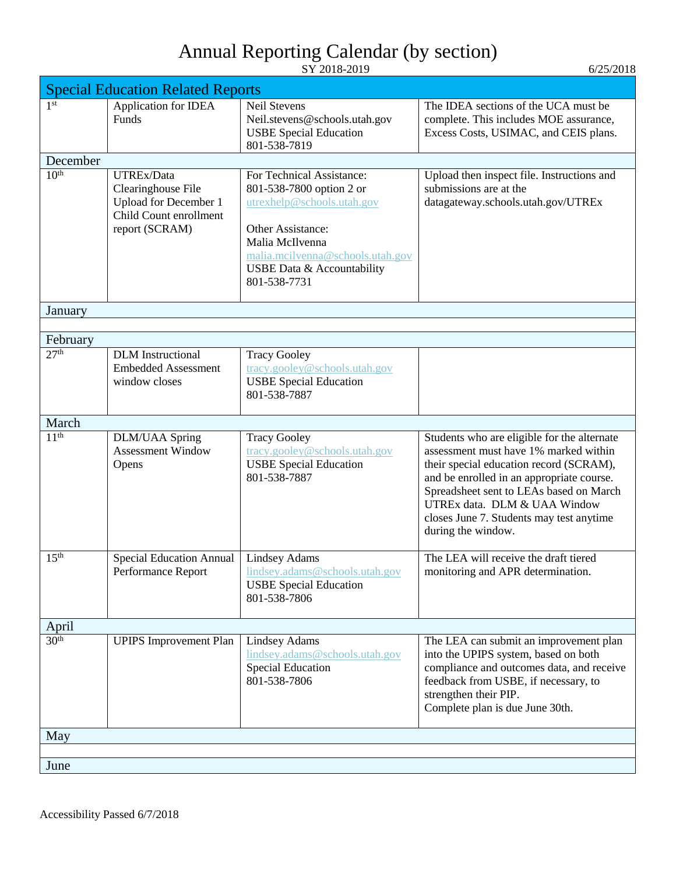|                  | <b>Special Education Related Reports</b>                                                                     |                                                                                                                                                                                                                      |                                                                                                                                                                                                                                                                                                                           |
|------------------|--------------------------------------------------------------------------------------------------------------|----------------------------------------------------------------------------------------------------------------------------------------------------------------------------------------------------------------------|---------------------------------------------------------------------------------------------------------------------------------------------------------------------------------------------------------------------------------------------------------------------------------------------------------------------------|
| 1 <sup>st</sup>  | Application for IDEA<br>Funds                                                                                | <b>Neil Stevens</b><br>Neil.stevens@schools.utah.gov<br><b>USBE Special Education</b><br>801-538-7819                                                                                                                | The IDEA sections of the UCA must be<br>complete. This includes MOE assurance,<br>Excess Costs, USIMAC, and CEIS plans.                                                                                                                                                                                                   |
| December         |                                                                                                              |                                                                                                                                                                                                                      |                                                                                                                                                                                                                                                                                                                           |
| 10 <sup>th</sup> | UTREx/Data<br>Clearinghouse File<br><b>Upload for December 1</b><br>Child Count enrollment<br>report (SCRAM) | For Technical Assistance:<br>801-538-7800 option 2 or<br>utrexhelp@schools.utah.gov<br><b>Other Assistance:</b><br>Malia McIlvenna<br>malia.mcilvenna@schools.utah.gov<br>USBE Data & Accountability<br>801-538-7731 | Upload then inspect file. Instructions and<br>submissions are at the<br>datagateway.schools.utah.gov/UTREx                                                                                                                                                                                                                |
| January          |                                                                                                              |                                                                                                                                                                                                                      |                                                                                                                                                                                                                                                                                                                           |
|                  |                                                                                                              |                                                                                                                                                                                                                      |                                                                                                                                                                                                                                                                                                                           |
| February         |                                                                                                              |                                                                                                                                                                                                                      |                                                                                                                                                                                                                                                                                                                           |
| 27 <sup>th</sup> | <b>DLM</b> Instructional<br><b>Embedded Assessment</b><br>window closes                                      | <b>Tracy Gooley</b><br>tracy.gooley@schools.utah.gov<br><b>USBE Special Education</b><br>801-538-7887                                                                                                                |                                                                                                                                                                                                                                                                                                                           |
| March            |                                                                                                              |                                                                                                                                                                                                                      |                                                                                                                                                                                                                                                                                                                           |
| 11 <sup>th</sup> | <b>DLM/UAA Spring</b><br><b>Assessment Window</b><br>Opens                                                   | <b>Tracy Gooley</b><br>tracy.gooley@schools.utah.gov<br><b>USBE Special Education</b><br>801-538-7887                                                                                                                | Students who are eligible for the alternate<br>assessment must have 1% marked within<br>their special education record (SCRAM),<br>and be enrolled in an appropriate course.<br>Spreadsheet sent to LEAs based on March<br>UTREx data. DLM & UAA Window<br>closes June 7. Students may test anytime<br>during the window. |
| 15 <sup>th</sup> | <b>Special Education Annual</b><br>Performance Report                                                        | <b>Lindsey Adams</b><br>lindsey.adams@schools.utah.gov<br><b>USBE Special Education</b><br>801-538-7806                                                                                                              | The LEA will receive the draft tiered<br>monitoring and APR determination.                                                                                                                                                                                                                                                |
| April            |                                                                                                              |                                                                                                                                                                                                                      |                                                                                                                                                                                                                                                                                                                           |
| 30 <sup>th</sup> | <b>UPIPS</b> Improvement Plan                                                                                | <b>Lindsey Adams</b><br>lindsey.adams@schools.utah.gov<br><b>Special Education</b><br>801-538-7806                                                                                                                   | The LEA can submit an improvement plan<br>into the UPIPS system, based on both<br>compliance and outcomes data, and receive<br>feedback from USBE, if necessary, to<br>strengthen their PIP.<br>Complete plan is due June 30th.                                                                                           |
| May              |                                                                                                              |                                                                                                                                                                                                                      |                                                                                                                                                                                                                                                                                                                           |
|                  |                                                                                                              |                                                                                                                                                                                                                      |                                                                                                                                                                                                                                                                                                                           |
| June             |                                                                                                              |                                                                                                                                                                                                                      |                                                                                                                                                                                                                                                                                                                           |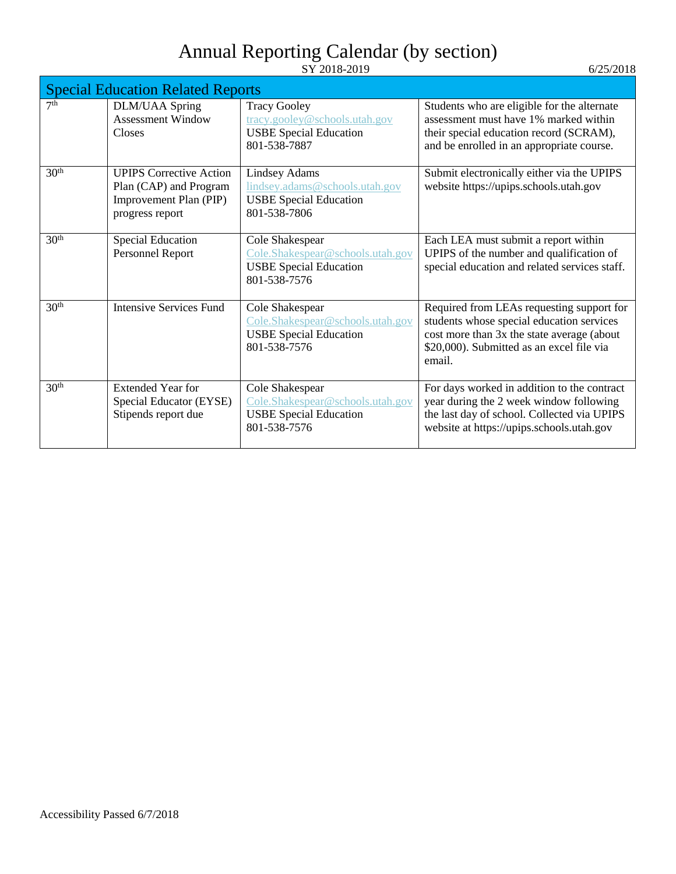|                  | <b>Special Education Related Reports</b>                                                              |                                                                                                         |                                                                                                                                                                                             |  |
|------------------|-------------------------------------------------------------------------------------------------------|---------------------------------------------------------------------------------------------------------|---------------------------------------------------------------------------------------------------------------------------------------------------------------------------------------------|--|
| 7 <sup>th</sup>  | <b>DLM/UAA Spring</b><br><b>Assessment Window</b><br><b>Closes</b>                                    | <b>Tracy Gooley</b><br>tracy.gooley@schools.utah.gov<br><b>USBE Special Education</b><br>801-538-7887   | Students who are eligible for the alternate<br>assessment must have 1% marked within<br>their special education record (SCRAM),<br>and be enrolled in an appropriate course.                |  |
| 30 <sup>th</sup> | <b>UPIPS Corrective Action</b><br>Plan (CAP) and Program<br>Improvement Plan (PIP)<br>progress report | <b>Lindsey Adams</b><br>lindsey.adams@schools.utah.gov<br><b>USBE Special Education</b><br>801-538-7806 | Submit electronically either via the UPIPS<br>website https://upips.schools.utah.gov                                                                                                        |  |
| 30 <sup>th</sup> | <b>Special Education</b><br>Personnel Report                                                          | Cole Shakespear<br>Cole.Shakespear@schools.utah.gov<br><b>USBE Special Education</b><br>801-538-7576    | Each LEA must submit a report within<br>UPIPS of the number and qualification of<br>special education and related services staff.                                                           |  |
| 30 <sup>th</sup> | <b>Intensive Services Fund</b>                                                                        | Cole Shakespear<br>Cole.Shakespear@schools.utah.gov<br><b>USBE Special Education</b><br>801-538-7576    | Required from LEAs requesting support for<br>students whose special education services<br>cost more than 3x the state average (about<br>\$20,000). Submitted as an excel file via<br>email. |  |
| 30 <sup>th</sup> | <b>Extended Year for</b><br>Special Educator (EYSE)<br>Stipends report due                            | Cole Shakespear<br>Cole.Shakespear@schools.utah.gov<br><b>USBE Special Education</b><br>801-538-7576    | For days worked in addition to the contract<br>year during the 2 week window following<br>the last day of school. Collected via UPIPS<br>website at https://upips.schools.utah.gov          |  |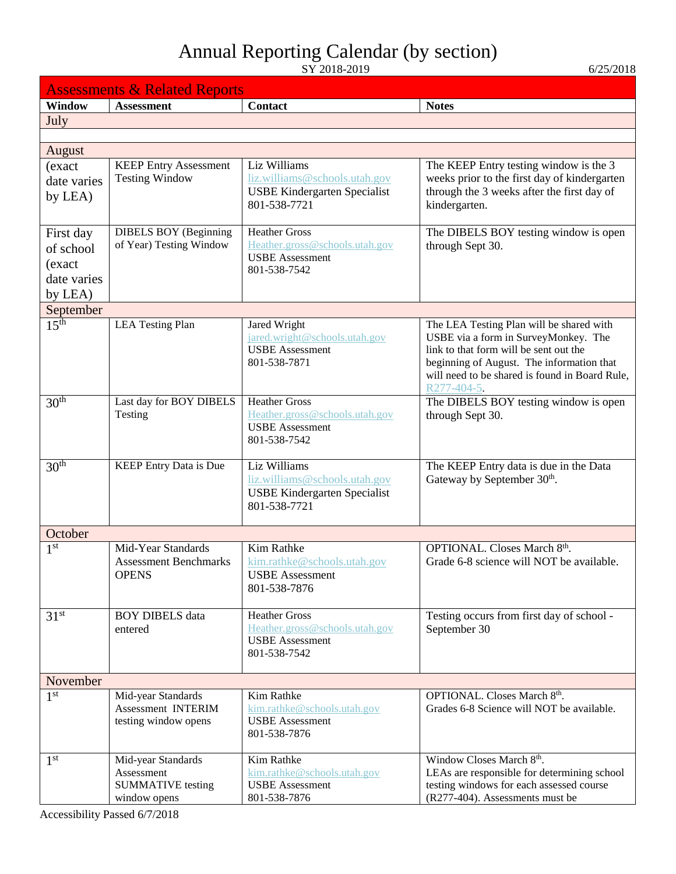<span id="page-19-0"></span>

| <b>Assessments &amp; Related Reports</b> |                                                         |                                                          |                                                                                        |  |
|------------------------------------------|---------------------------------------------------------|----------------------------------------------------------|----------------------------------------------------------------------------------------|--|
| <b>Window</b>                            | <b>Assessment</b>                                       | <b>Contact</b>                                           | <b>Notes</b>                                                                           |  |
| July                                     |                                                         |                                                          |                                                                                        |  |
|                                          |                                                         |                                                          |                                                                                        |  |
| August                                   |                                                         |                                                          |                                                                                        |  |
| (exact                                   | <b>KEEP Entry Assessment</b><br><b>Testing Window</b>   | Liz Williams<br>liz.williams@schools.utah.gov            | The KEEP Entry testing window is the 3<br>weeks prior to the first day of kindergarten |  |
| date varies<br>by LEA)                   |                                                         | <b>USBE Kindergarten Specialist</b>                      | through the 3 weeks after the first day of                                             |  |
|                                          |                                                         | 801-538-7721                                             | kindergarten.                                                                          |  |
|                                          |                                                         | <b>Heather Gross</b>                                     |                                                                                        |  |
| First day<br>of school                   | <b>DIBELS BOY (Beginning</b><br>of Year) Testing Window | Heather.gross@schools.utah.gov                           | The DIBELS BOY testing window is open<br>through Sept 30.                              |  |
| (exact                                   |                                                         | <b>USBE</b> Assessment                                   |                                                                                        |  |
| date varies                              |                                                         | 801-538-7542                                             |                                                                                        |  |
| by LEA)                                  |                                                         |                                                          |                                                                                        |  |
| September                                |                                                         |                                                          |                                                                                        |  |
| 15 <sup>th</sup>                         | <b>LEA Testing Plan</b>                                 | Jared Wright                                             | The LEA Testing Plan will be shared with                                               |  |
|                                          |                                                         | jared.wright@schools.utah.gov<br><b>USBE</b> Assessment  | USBE via a form in SurveyMonkey. The<br>link to that form will be sent out the         |  |
|                                          |                                                         | 801-538-7871                                             | beginning of August. The information that                                              |  |
|                                          |                                                         |                                                          | will need to be shared is found in Board Rule,                                         |  |
| 30 <sup>th</sup>                         | Last day for BOY DIBELS                                 | <b>Heather Gross</b>                                     | R277-404-5.<br>The DIBELS BOY testing window is open                                   |  |
|                                          | Testing                                                 | Heather.gross@schools.utah.gov                           | through Sept 30.                                                                       |  |
|                                          |                                                         | <b>USBE</b> Assessment                                   |                                                                                        |  |
|                                          |                                                         | 801-538-7542                                             |                                                                                        |  |
| 30 <sup>th</sup>                         | KEEP Entry Data is Due                                  | Liz Williams                                             | The KEEP Entry data is due in the Data                                                 |  |
|                                          |                                                         | liz.williams@schools.utah.gov                            | Gateway by September 30th.                                                             |  |
|                                          |                                                         | <b>USBE Kindergarten Specialist</b><br>801-538-7721      |                                                                                        |  |
|                                          |                                                         |                                                          |                                                                                        |  |
| October                                  |                                                         |                                                          |                                                                                        |  |
| 1 <sup>st</sup>                          | Mid-Year Standards                                      | <b>Kim Rathke</b>                                        | OPTIONAL. Closes March 8th.                                                            |  |
|                                          | <b>Assessment Benchmarks</b>                            | kim.rathke@schools.utah.gov                              | Grade 6-8 science will NOT be available.                                               |  |
|                                          | <b>OPENS</b>                                            | <b>USBE</b> Assessment<br>801-538-7876                   |                                                                                        |  |
|                                          |                                                         |                                                          |                                                                                        |  |
| 31 <sup>st</sup>                         | <b>BOY DIBELS</b> data                                  | <b>Heather Gross</b>                                     | Testing occurs from first day of school -                                              |  |
|                                          | entered                                                 | Heather.gross@schools.utah.gov<br><b>USBE</b> Assessment | September 30                                                                           |  |
|                                          |                                                         | 801-538-7542                                             |                                                                                        |  |
|                                          |                                                         |                                                          |                                                                                        |  |
| November                                 |                                                         |                                                          |                                                                                        |  |
| 1 <sup>st</sup>                          | Mid-year Standards<br>Assessment INTERIM                | Kim Rathke<br>kim.rathke@schools.utah.gov                | OPTIONAL. Closes March 8th.<br>Grades 6-8 Science will NOT be available.               |  |
|                                          | testing window opens                                    | <b>USBE</b> Assessment                                   |                                                                                        |  |
|                                          |                                                         | 801-538-7876                                             |                                                                                        |  |
| 1 <sup>st</sup>                          | Mid-year Standards                                      | Kim Rathke                                               | Window Closes March 8th.                                                               |  |
|                                          | Assessment                                              | kim.rathke@schools.utah.gov                              | LEAs are responsible for determining school                                            |  |
|                                          | <b>SUMMATIVE</b> testing                                | <b>USBE</b> Assessment                                   | testing windows for each assessed course                                               |  |
|                                          | window opens                                            | 801-538-7876                                             | (R277-404). Assessments must be                                                        |  |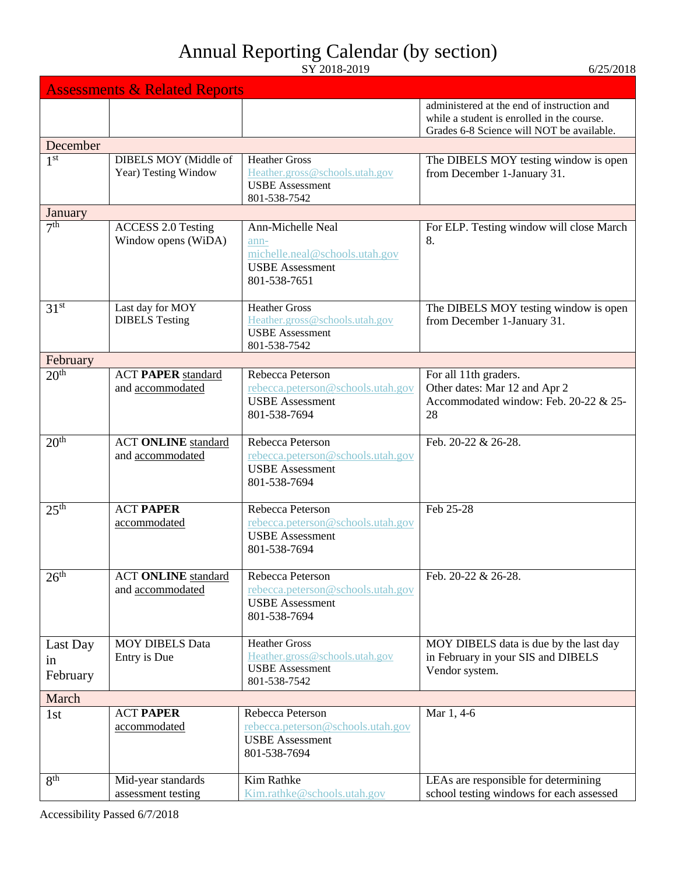| 6/25/2018 |  |
|-----------|--|
|           |  |

|                            | <b>Assessments &amp; Related Reports</b>         |                                                                                                              |                                                                                                                                       |
|----------------------------|--------------------------------------------------|--------------------------------------------------------------------------------------------------------------|---------------------------------------------------------------------------------------------------------------------------------------|
|                            |                                                  |                                                                                                              | administered at the end of instruction and<br>while a student is enrolled in the course.<br>Grades 6-8 Science will NOT be available. |
| December                   |                                                  |                                                                                                              |                                                                                                                                       |
| 1 <sup>st</sup>            | DIBELS MOY (Middle of<br>Year) Testing Window    | <b>Heather Gross</b><br>Heather.gross@schools.utah.gov<br><b>USBE</b> Assessment<br>801-538-7542             | The DIBELS MOY testing window is open<br>from December 1-January 31.                                                                  |
| January                    |                                                  |                                                                                                              |                                                                                                                                       |
| 7 <sup>th</sup>            | <b>ACCESS 2.0 Testing</b><br>Window opens (WiDA) | <b>Ann-Michelle Neal</b><br>ann-<br>michelle.neal@schools.utah.gov<br><b>USBE</b> Assessment<br>801-538-7651 | For ELP. Testing window will close March<br>8.                                                                                        |
| 31 <sup>st</sup>           | Last day for MOY<br><b>DIBELS</b> Testing        | <b>Heather Gross</b><br>Heather.gross@schools.utah.gov<br><b>USBE</b> Assessment<br>801-538-7542             | The DIBELS MOY testing window is open<br>from December 1-January 31.                                                                  |
| February                   |                                                  |                                                                                                              |                                                                                                                                       |
| 20 <sup>th</sup>           | <b>ACT PAPER standard</b><br>and accommodated    | Rebecca Peterson<br>rebecca.peterson@schools.utah.gov<br><b>USBE</b> Assessment<br>801-538-7694              | For all 11th graders.<br>Other dates: Mar 12 and Apr 2<br>Accommodated window: Feb. 20-22 & 25-<br>28                                 |
| $20^{\overline{th}}$       | <b>ACT ONLINE</b> standard<br>and accommodated   | Rebecca Peterson<br>rebecca.peterson@schools.utah.gov<br><b>USBE</b> Assessment<br>801-538-7694              | Feb. 20-22 & 26-28.                                                                                                                   |
| 25 <sup>th</sup>           | <b>ACT PAPER</b><br>accommodated                 | Rebecca Peterson<br>rebecca.peterson@schools.utah.gov<br><b>USBE</b> Assessment<br>801-538-7694              | Feb 25-28                                                                                                                             |
| 26 <sup>th</sup>           | <b>ACT ONLINE</b> standard<br>and accommodated   | Rebecca Peterson<br>rebecca.peterson@schools.utah.gov<br><b>USBE</b> Assessment<br>801-538-7694              | Feb. 20-22 & 26-28.                                                                                                                   |
| Last Day<br>in<br>February | <b>MOY DIBELS Data</b><br>Entry is Due           | <b>Heather Gross</b><br>Heather.gross@schools.utah.gov<br><b>USBE</b> Assessment<br>801-538-7542             | MOY DIBELS data is due by the last day<br>in February in your SIS and DIBELS<br>Vendor system.                                        |
| March                      |                                                  |                                                                                                              |                                                                                                                                       |
| 1 <sub>st</sub>            | <b>ACT PAPER</b><br>accommodated                 | Rebecca Peterson<br>rebecca.peterson@schools.utah.gov<br><b>USBE</b> Assessment<br>801-538-7694              | Mar 1, 4-6                                                                                                                            |
| 8 <sup>th</sup>            | Mid-year standards<br>assessment testing         | Kim Rathke<br>Kim.rathke@schools.utah.gov                                                                    | LEAs are responsible for determining<br>school testing windows for each assessed                                                      |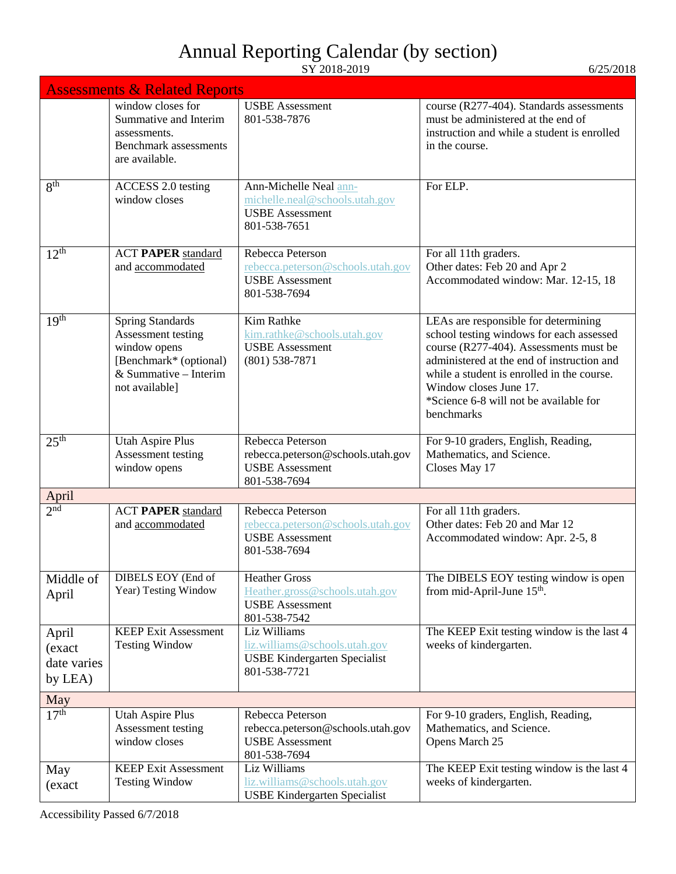|                                           | <b>Assessments &amp; Related Reports</b>                                                                                             |                                                                                                      |                                                                                                                                                                                                                                                                                                          |  |
|-------------------------------------------|--------------------------------------------------------------------------------------------------------------------------------------|------------------------------------------------------------------------------------------------------|----------------------------------------------------------------------------------------------------------------------------------------------------------------------------------------------------------------------------------------------------------------------------------------------------------|--|
|                                           | window closes for<br>Summative and Interim<br>assessments.<br><b>Benchmark</b> assessments<br>are available.                         | <b>USBE</b> Assessment<br>801-538-7876                                                               | course (R277-404). Standards assessments<br>must be administered at the end of<br>instruction and while a student is enrolled<br>in the course.                                                                                                                                                          |  |
| 8 <sup>th</sup>                           | ACCESS 2.0 testing<br>window closes                                                                                                  | Ann-Michelle Neal ann-<br>michelle.neal@schools.utah.gov<br><b>USBE</b> Assessment<br>801-538-7651   | For ELP.                                                                                                                                                                                                                                                                                                 |  |
| $12^{th}$                                 | <b>ACT PAPER standard</b><br>and accommodated                                                                                        | Rebecca Peterson<br>rebecca.peterson@schools.utah.gov<br><b>USBE</b> Assessment<br>801-538-7694      | For all 11th graders.<br>Other dates: Feb 20 and Apr 2<br>Accommodated window: Mar. 12-15, 18                                                                                                                                                                                                            |  |
| 19 <sup>th</sup>                          | <b>Spring Standards</b><br>Assessment testing<br>window opens<br>[Benchmark* (optional)<br>& Summative $-$ Interim<br>not available] | Kim Rathke<br>kim.rathke@schools.utah.gov<br><b>USBE</b> Assessment<br>$(801)$ 538-7871              | LEAs are responsible for determining<br>school testing windows for each assessed<br>course (R277-404). Assessments must be<br>administered at the end of instruction and<br>while a student is enrolled in the course.<br>Window closes June 17.<br>*Science 6-8 will not be available for<br>benchmarks |  |
| 25 <sup>th</sup>                          | <b>Utah Aspire Plus</b><br>Assessment testing<br>window opens                                                                        | Rebecca Peterson<br>rebecca.peterson@schools.utah.gov<br><b>USBE</b> Assessment<br>801-538-7694      | For 9-10 graders, English, Reading,<br>Mathematics, and Science.<br>Closes May 17                                                                                                                                                                                                                        |  |
| April                                     |                                                                                                                                      |                                                                                                      |                                                                                                                                                                                                                                                                                                          |  |
| $2^{\overline{\text{nd}}}$                | <b>ACT PAPER standard</b><br>and accommodated                                                                                        | Rebecca Peterson<br>rebecca.peterson@schools.utah.gov<br><b>USBE</b> Assessment<br>801-538-7694      | For all 11th graders.<br>Other dates: Feb 20 and Mar 12<br>Accommodated window: Apr. 2-5, 8                                                                                                                                                                                                              |  |
| Middle of<br>April                        | DIBELS EOY (End of<br>Year) Testing Window                                                                                           | <b>Heather Gross</b><br>Heather.gross@schools.utah.gov<br><b>USBE</b> Assessment<br>801-538-7542     | The DIBELS EOY testing window is open<br>from mid-April-June 15 <sup>th</sup> .                                                                                                                                                                                                                          |  |
| April<br>(exact<br>date varies<br>by LEA) | <b>KEEP Exit Assessment</b><br><b>Testing Window</b>                                                                                 | Liz Williams<br>liz.williams@schools.utah.gov<br><b>USBE Kindergarten Specialist</b><br>801-538-7721 | The KEEP Exit testing window is the last 4<br>weeks of kindergarten.                                                                                                                                                                                                                                     |  |
| May                                       |                                                                                                                                      |                                                                                                      |                                                                                                                                                                                                                                                                                                          |  |
| 17 <sup>th</sup>                          | <b>Utah Aspire Plus</b><br>Assessment testing<br>window closes                                                                       | Rebecca Peterson<br>rebecca.peterson@schools.utah.gov<br><b>USBE</b> Assessment<br>801-538-7694      | For 9-10 graders, English, Reading,<br>Mathematics, and Science.<br>Opens March 25                                                                                                                                                                                                                       |  |
| May<br>(exact                             | <b>KEEP Exit Assessment</b><br><b>Testing Window</b>                                                                                 | Liz Williams<br>liz.williams@schools.utah.gov<br><b>USBE Kindergarten Specialist</b>                 | The KEEP Exit testing window is the last 4<br>weeks of kindergarten.                                                                                                                                                                                                                                     |  |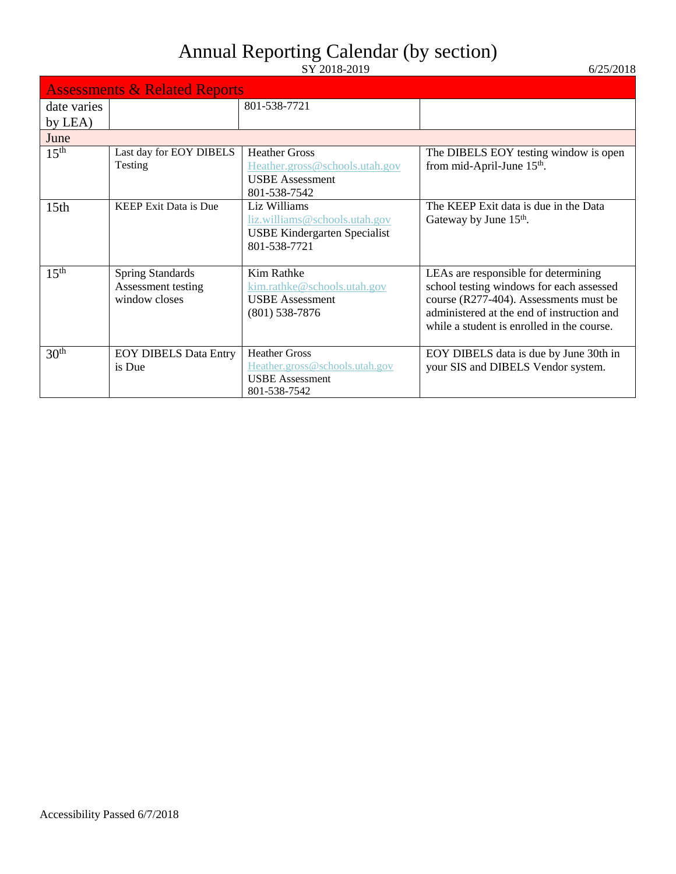|                  | <b>Assessments &amp; Related Reports</b>                       |                                                                                                      |                                                                                                                                                                                                                        |  |
|------------------|----------------------------------------------------------------|------------------------------------------------------------------------------------------------------|------------------------------------------------------------------------------------------------------------------------------------------------------------------------------------------------------------------------|--|
| date varies      |                                                                | 801-538-7721                                                                                         |                                                                                                                                                                                                                        |  |
| by LEA)          |                                                                |                                                                                                      |                                                                                                                                                                                                                        |  |
| June             |                                                                |                                                                                                      |                                                                                                                                                                                                                        |  |
| 15 <sup>th</sup> | Last day for EOY DIBELS<br>Testing                             | <b>Heather Gross</b><br>Heather.gross@schools.utah.gov<br><b>USBE</b> Assessment<br>801-538-7542     | The DIBELS EOY testing window is open<br>from mid-April-June 15 <sup>th</sup> .                                                                                                                                        |  |
| 15 <sub>th</sub> | <b>KEEP Exit Data is Due</b>                                   | Liz Williams<br>liz.williams@schools.utah.gov<br><b>USBE Kindergarten Specialist</b><br>801-538-7721 | The KEEP Exit data is due in the Data<br>Gateway by June 15 <sup>th</sup> .                                                                                                                                            |  |
| 15 <sup>th</sup> | <b>Spring Standards</b><br>Assessment testing<br>window closes | Kim Rathke<br>kim.rathke@schools.utah.gov<br><b>USBE</b> Assessment<br>$(801)$ 538-7876              | LEAs are responsible for determining<br>school testing windows for each assessed<br>course (R277-404). Assessments must be<br>administered at the end of instruction and<br>while a student is enrolled in the course. |  |
| 30 <sup>th</sup> | <b>EOY DIBELS Data Entry</b><br>is Due                         | <b>Heather Gross</b><br>Heather.gross@schools.utah.gov<br><b>USBE</b> Assessment<br>801-538-7542     | EOY DIBELS data is due by June 30th in<br>your SIS and DIBELS Vendor system.                                                                                                                                           |  |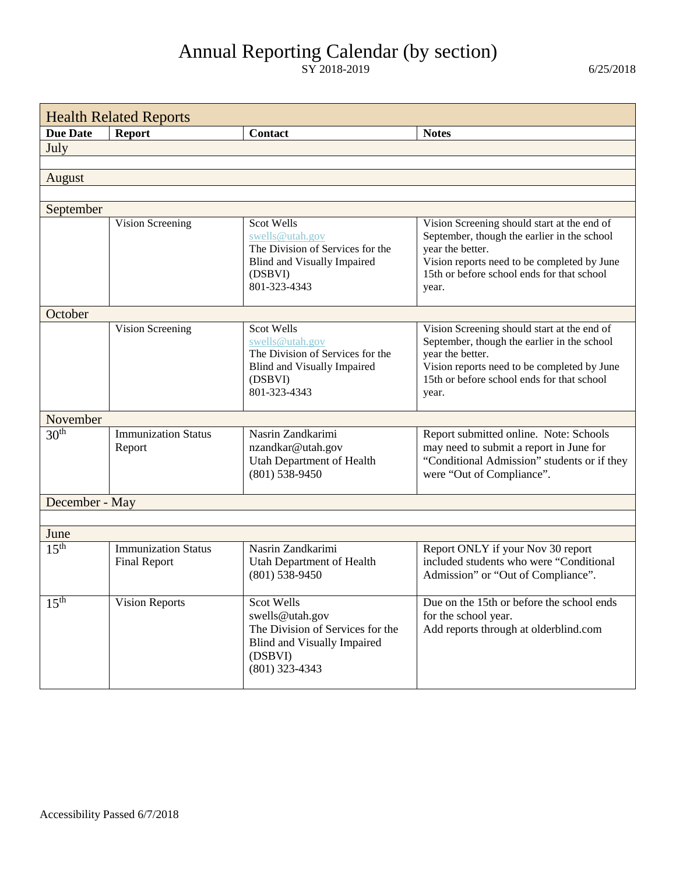<span id="page-23-0"></span>

| <b>Health Related Reports</b> |                                                   |                                                                                                                                        |                                                                                                                                                                                                                      |
|-------------------------------|---------------------------------------------------|----------------------------------------------------------------------------------------------------------------------------------------|----------------------------------------------------------------------------------------------------------------------------------------------------------------------------------------------------------------------|
| <b>Due Date</b>               | <b>Report</b>                                     | <b>Contact</b>                                                                                                                         | <b>Notes</b>                                                                                                                                                                                                         |
| July                          |                                                   |                                                                                                                                        |                                                                                                                                                                                                                      |
|                               |                                                   |                                                                                                                                        |                                                                                                                                                                                                                      |
| August                        |                                                   |                                                                                                                                        |                                                                                                                                                                                                                      |
|                               |                                                   |                                                                                                                                        |                                                                                                                                                                                                                      |
| September                     |                                                   |                                                                                                                                        |                                                                                                                                                                                                                      |
|                               | Vision Screening                                  | Scot Wells<br>swells@utah.gov<br>The Division of Services for the<br><b>Blind and Visually Impaired</b><br>(DSBVI)<br>801-323-4343     | Vision Screening should start at the end of<br>September, though the earlier in the school<br>year the better.<br>Vision reports need to be completed by June<br>15th or before school ends for that school<br>year. |
| October                       |                                                   |                                                                                                                                        |                                                                                                                                                                                                                      |
|                               | Vision Screening                                  | Scot Wells<br>swells@utah.gov<br>The Division of Services for the<br><b>Blind and Visually Impaired</b><br>(DSBVI)<br>801-323-4343     | Vision Screening should start at the end of<br>September, though the earlier in the school<br>year the better.<br>Vision reports need to be completed by June<br>15th or before school ends for that school<br>year. |
| November                      |                                                   |                                                                                                                                        |                                                                                                                                                                                                                      |
| 30 <sup>th</sup>              | <b>Immunization Status</b><br>Report              | Nasrin Zandkarimi<br>nzandkar@utah.gov<br>Utah Department of Health<br>$(801)$ 538-9450                                                | Report submitted online. Note: Schools<br>may need to submit a report in June for<br>"Conditional Admission" students or if they<br>were "Out of Compliance".                                                        |
| December - May                |                                                   |                                                                                                                                        |                                                                                                                                                                                                                      |
|                               |                                                   |                                                                                                                                        |                                                                                                                                                                                                                      |
| June                          |                                                   |                                                                                                                                        |                                                                                                                                                                                                                      |
| 15 <sup>th</sup>              | <b>Immunization Status</b><br><b>Final Report</b> | Nasrin Zandkarimi<br><b>Utah Department of Health</b><br>$(801)$ 538-9450                                                              | Report ONLY if your Nov 30 report<br>included students who were "Conditional<br>Admission" or "Out of Compliance".                                                                                                   |
| 15 <sup>th</sup>              | <b>Vision Reports</b>                             | Scot Wells<br>swells@utah.gov<br>The Division of Services for the<br><b>Blind and Visually Impaired</b><br>(DSBVI)<br>$(801)$ 323-4343 | Due on the 15th or before the school ends<br>for the school year.<br>Add reports through at olderblind.com                                                                                                           |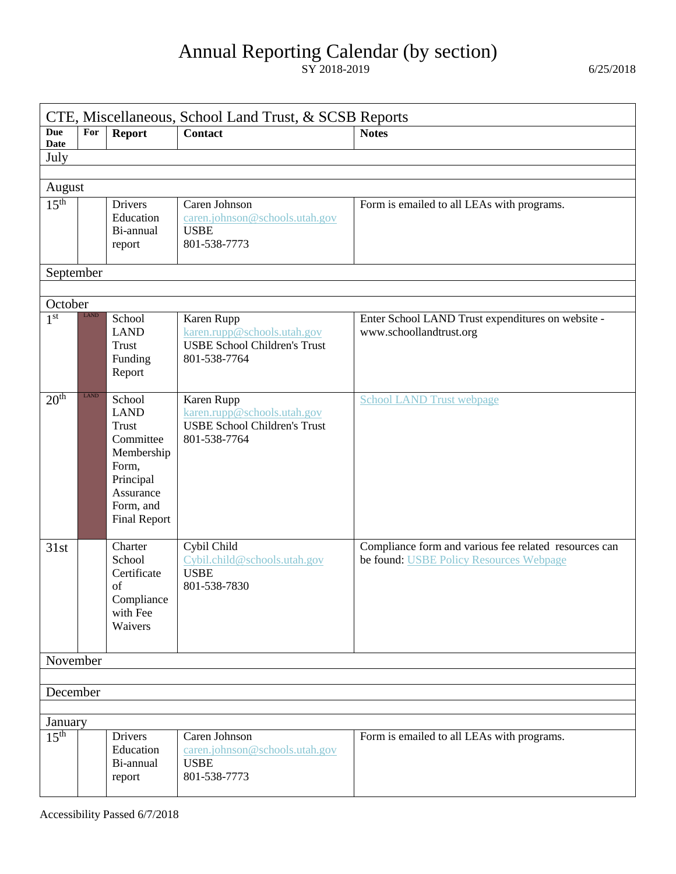<span id="page-24-0"></span>

| CTE, Miscellaneous, School Land Trust, & SCSB Reports |             |                                                                                                                                         |                                                                                                  |                                                                                                  |  |  |  |
|-------------------------------------------------------|-------------|-----------------------------------------------------------------------------------------------------------------------------------------|--------------------------------------------------------------------------------------------------|--------------------------------------------------------------------------------------------------|--|--|--|
| <b>Due</b><br><b>Date</b>                             | For         | <b>Report</b>                                                                                                                           | <b>Contact</b>                                                                                   | <b>Notes</b>                                                                                     |  |  |  |
| July                                                  |             |                                                                                                                                         |                                                                                                  |                                                                                                  |  |  |  |
|                                                       |             |                                                                                                                                         |                                                                                                  |                                                                                                  |  |  |  |
| August                                                |             |                                                                                                                                         |                                                                                                  |                                                                                                  |  |  |  |
| 15 <sup>th</sup>                                      |             | <b>Drivers</b><br>Education<br>Bi-annual<br>report                                                                                      | Caren Johnson<br>caren.johnson@schools.utah.gov<br><b>USBE</b><br>801-538-7773                   | Form is emailed to all LEAs with programs.                                                       |  |  |  |
| September                                             |             |                                                                                                                                         |                                                                                                  |                                                                                                  |  |  |  |
|                                                       |             |                                                                                                                                         |                                                                                                  |                                                                                                  |  |  |  |
| October                                               |             |                                                                                                                                         |                                                                                                  |                                                                                                  |  |  |  |
| 1 <sup>st</sup>                                       | LAND        | School<br><b>LAND</b><br>Trust<br>Funding<br>Report                                                                                     | Karen Rupp<br>karen.rupp@schools.utah.gov<br><b>USBE School Children's Trust</b><br>801-538-7764 | Enter School LAND Trust expenditures on website -<br>www.schoollandtrust.org                     |  |  |  |
| 20 <sup>th</sup>                                      | <b>LAND</b> | School<br><b>LAND</b><br><b>Trust</b><br>Committee<br>Membership<br>Form,<br>Principal<br>Assurance<br>Form, and<br><b>Final Report</b> | Karen Rupp<br>karen.rupp@schools.utah.gov<br><b>USBE School Children's Trust</b><br>801-538-7764 | <b>School LAND Trust webpage</b>                                                                 |  |  |  |
| 31st                                                  |             | Charter<br>School<br>Certificate<br>of<br>Compliance<br>with Fee<br>Waivers                                                             | Cybil Child<br>Cybil.child@schools.utah.gov<br><b>USBE</b><br>801-538-7830                       | Compliance form and various fee related resources can<br>be found: USBE Policy Resources Webpage |  |  |  |
| November                                              |             |                                                                                                                                         |                                                                                                  |                                                                                                  |  |  |  |
|                                                       |             |                                                                                                                                         |                                                                                                  |                                                                                                  |  |  |  |
| December                                              |             |                                                                                                                                         |                                                                                                  |                                                                                                  |  |  |  |
|                                                       |             |                                                                                                                                         |                                                                                                  |                                                                                                  |  |  |  |
| January                                               |             |                                                                                                                                         |                                                                                                  |                                                                                                  |  |  |  |
| 15 <sup>th</sup>                                      |             | <b>Drivers</b><br>Education<br>Bi-annual<br>report                                                                                      | Caren Johnson<br>caren.johnson@schools.utah.gov<br><b>USBE</b><br>801-538-7773                   | Form is emailed to all LEAs with programs.                                                       |  |  |  |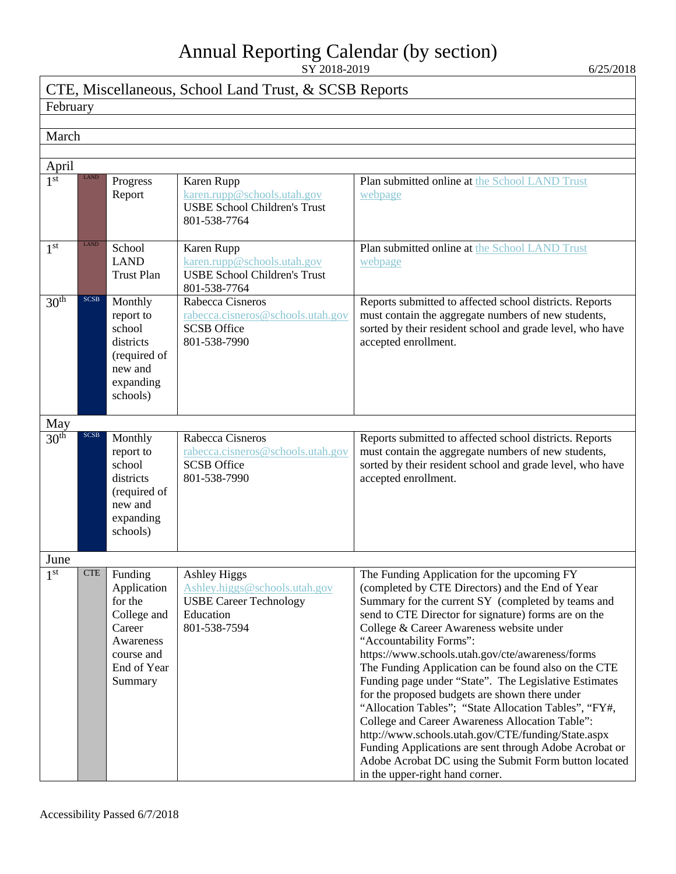#### CTE, Miscellaneous, School Land Trust, & SCSB Reports

#### February

#### March

| April            |             |                                                                                                                 |                                                                                                                    |                                                                                                                                                                                                                                                                                                                                                                                                                                                                                                                                                                                                                                                                                                                                                                                                                                     |  |  |
|------------------|-------------|-----------------------------------------------------------------------------------------------------------------|--------------------------------------------------------------------------------------------------------------------|-------------------------------------------------------------------------------------------------------------------------------------------------------------------------------------------------------------------------------------------------------------------------------------------------------------------------------------------------------------------------------------------------------------------------------------------------------------------------------------------------------------------------------------------------------------------------------------------------------------------------------------------------------------------------------------------------------------------------------------------------------------------------------------------------------------------------------------|--|--|
| 1 <sup>st</sup>  | LAND        | Progress<br>Report                                                                                              | Karen Rupp<br>karen.rupp@schools.utah.gov<br><b>USBE School Children's Trust</b><br>801-538-7764                   | Plan submitted online at the School LAND Trust<br>webpage                                                                                                                                                                                                                                                                                                                                                                                                                                                                                                                                                                                                                                                                                                                                                                           |  |  |
| 1 <sup>st</sup>  | <b>LAND</b> | School<br><b>LAND</b><br><b>Trust Plan</b>                                                                      | Karen Rupp<br>karen.rupp@schools.utah.gov<br><b>USBE School Children's Trust</b><br>801-538-7764                   | Plan submitted online at the School LAND Trust<br>webpage                                                                                                                                                                                                                                                                                                                                                                                                                                                                                                                                                                                                                                                                                                                                                                           |  |  |
| 30 <sup>th</sup> | <b>SCSB</b> | Monthly<br>report to<br>school<br>districts<br>(required of<br>new and<br>expanding<br>schools)                 | Rabecca Cisneros<br>rabecca.cisneros@schools.utah.gov<br><b>SCSB</b> Office<br>801-538-7990                        | Reports submitted to affected school districts. Reports<br>must contain the aggregate numbers of new students,<br>sorted by their resident school and grade level, who have<br>accepted enrollment.                                                                                                                                                                                                                                                                                                                                                                                                                                                                                                                                                                                                                                 |  |  |
| May              |             |                                                                                                                 |                                                                                                                    |                                                                                                                                                                                                                                                                                                                                                                                                                                                                                                                                                                                                                                                                                                                                                                                                                                     |  |  |
| 30 <sup>th</sup> | <b>SCSB</b> | Monthly<br>report to<br>school<br>districts<br>(required of<br>new and<br>expanding<br>schools)                 | Rabecca Cisneros<br>rabecca.cisneros@schools.utah.gov<br><b>SCSB</b> Office<br>801-538-7990                        | Reports submitted to affected school districts. Reports<br>must contain the aggregate numbers of new students,<br>sorted by their resident school and grade level, who have<br>accepted enrollment.                                                                                                                                                                                                                                                                                                                                                                                                                                                                                                                                                                                                                                 |  |  |
| June             |             |                                                                                                                 |                                                                                                                    |                                                                                                                                                                                                                                                                                                                                                                                                                                                                                                                                                                                                                                                                                                                                                                                                                                     |  |  |
| 1 <sup>st</sup>  | <b>CTE</b>  | Funding<br>Application<br>for the<br>College and<br>Career<br>Awareness<br>course and<br>End of Year<br>Summary | <b>Ashley Higgs</b><br>Ashley.higgs@schools.utah.gov<br><b>USBE Career Technology</b><br>Education<br>801-538-7594 | The Funding Application for the upcoming FY<br>(completed by CTE Directors) and the End of Year<br>Summary for the current SY (completed by teams and<br>send to CTE Director for signature) forms are on the<br>College & Career Awareness website under<br>"Accountability Forms":<br>https://www.schools.utah.gov/cte/awareness/forms<br>The Funding Application can be found also on the CTE<br>Funding page under "State". The Legislative Estimates<br>for the proposed budgets are shown there under<br>"Allocation Tables"; "State Allocation Tables", "FY#,<br>College and Career Awareness Allocation Table":<br>http://www.schools.utah.gov/CTE/funding/State.aspx<br>Funding Applications are sent through Adobe Acrobat or<br>Adobe Acrobat DC using the Submit Form button located<br>in the upper-right hand corner. |  |  |